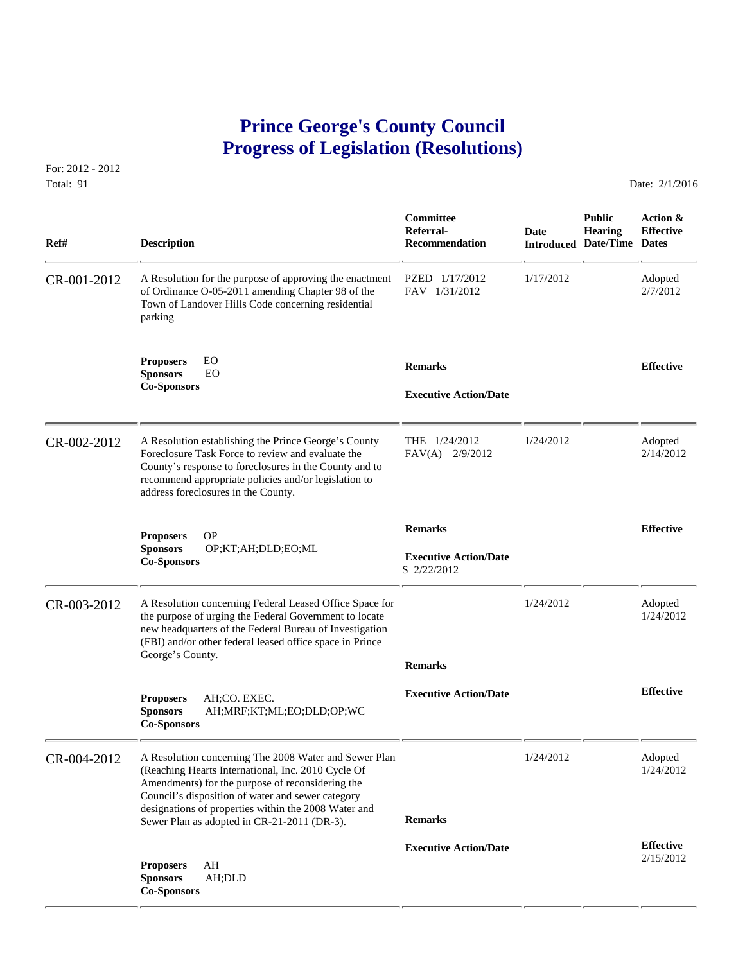## **Prince George's County Council Progress of Legislation (Resolutions)**

For: 2012 - 2012 Total: 91 Date: 2/1/2016

| Ref#        | <b>Description</b>                                                                                                                                                                                                                                                                                                          | Committee<br>Referral-<br><b>Recommendation</b>               | <b>Date</b> | <b>Public</b><br><b>Hearing</b><br><b>Introduced Date/Time Dates</b> | Action &<br><b>Effective</b>  |
|-------------|-----------------------------------------------------------------------------------------------------------------------------------------------------------------------------------------------------------------------------------------------------------------------------------------------------------------------------|---------------------------------------------------------------|-------------|----------------------------------------------------------------------|-------------------------------|
| CR-001-2012 | A Resolution for the purpose of approving the enactment<br>of Ordinance O-05-2011 amending Chapter 98 of the<br>Town of Landover Hills Code concerning residential<br>parking                                                                                                                                               | PZED 1/17/2012<br>FAV 1/31/2012                               | 1/17/2012   |                                                                      | Adopted<br>2/7/2012           |
|             | EO<br><b>Proposers</b><br><b>Sponsors</b><br>EO<br><b>Co-Sponsors</b>                                                                                                                                                                                                                                                       | <b>Remarks</b><br><b>Executive Action/Date</b>                |             |                                                                      | <b>Effective</b>              |
| CR-002-2012 | A Resolution establishing the Prince George's County<br>Foreclosure Task Force to review and evaluate the<br>County's response to foreclosures in the County and to<br>recommend appropriate policies and/or legislation to<br>address foreclosures in the County.                                                          | THE 1/24/2012<br>FAV(A) 2/9/2012                              | 1/24/2012   |                                                                      | Adopted<br>2/14/2012          |
|             | <b>OP</b><br><b>Proposers</b><br><b>Sponsors</b><br>OP;KT;AH;DLD;EO;ML<br><b>Co-Sponsors</b>                                                                                                                                                                                                                                | <b>Remarks</b><br><b>Executive Action/Date</b><br>S 2/22/2012 |             |                                                                      | <b>Effective</b>              |
| CR-003-2012 | A Resolution concerning Federal Leased Office Space for<br>the purpose of urging the Federal Government to locate<br>new headquarters of the Federal Bureau of Investigation<br>(FBI) and/or other federal leased office space in Prince<br>George's County.                                                                | <b>Remarks</b>                                                | 1/24/2012   |                                                                      | Adopted<br>1/24/2012          |
|             | <b>Proposers</b><br>AH:CO. EXEC.<br><b>Sponsors</b><br>AH;MRF;KT;ML;EO;DLD;OP;WC<br><b>Co-Sponsors</b>                                                                                                                                                                                                                      | <b>Executive Action/Date</b>                                  |             |                                                                      | <b>Effective</b>              |
| CR-004-2012 | A Resolution concerning The 2008 Water and Sewer Plan<br>(Reaching Hearts International, Inc. 2010 Cycle Of<br>Amendments) for the purpose of reconsidering the<br>Council's disposition of water and sewer category<br>designations of properties within the 2008 Water and<br>Sewer Plan as adopted in CR-21-2011 (DR-3). | <b>Remarks</b>                                                | 1/24/2012   |                                                                      | Adopted<br>1/24/2012          |
|             | AH<br><b>Proposers</b><br><b>Sponsors</b><br>AH;DLD<br><b>Co-Sponsors</b>                                                                                                                                                                                                                                                   | <b>Executive Action/Date</b>                                  |             |                                                                      | <b>Effective</b><br>2/15/2012 |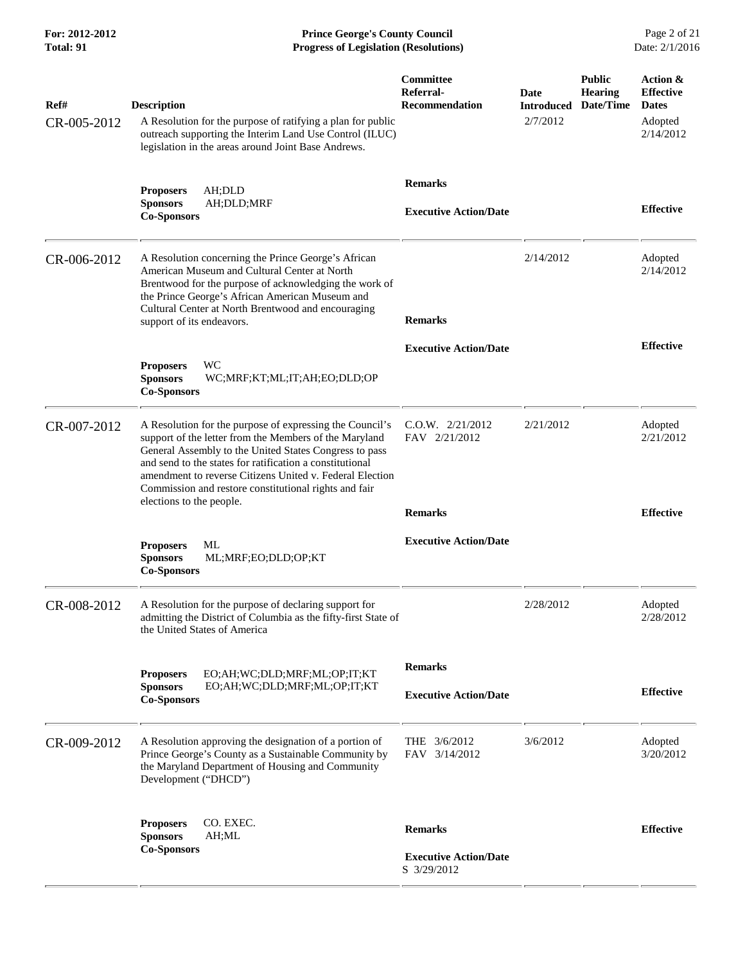**For: 2012-2012 Prince George's County Council** Page 2 of 21<br> **Prince George's County Council** Page 2 of 21<br> **Progress of Legislation (Resolutions)** Date: 2/1/2016 **Progress of Legislation (Resolutions)** 

| Ref#<br>CR-005-2012 | <b>Description</b><br>A Resolution for the purpose of ratifying a plan for public<br>outreach supporting the Interim Land Use Control (ILUC)<br>legislation in the areas around Joint Base Andrews.                                                                                                                                                                                       | Committee<br>Referral-<br><b>Recommendation</b>               | Date<br><b>Introduced</b><br>2/7/2012 | <b>Public</b><br><b>Hearing</b><br>Date/Time | Action &<br><b>Effective</b><br><b>Dates</b><br>Adopted<br>2/14/2012 |
|---------------------|-------------------------------------------------------------------------------------------------------------------------------------------------------------------------------------------------------------------------------------------------------------------------------------------------------------------------------------------------------------------------------------------|---------------------------------------------------------------|---------------------------------------|----------------------------------------------|----------------------------------------------------------------------|
|                     | AH;DLD<br><b>Proposers</b><br>AH;DLD;MRF<br><b>Sponsors</b><br><b>Co-Sponsors</b>                                                                                                                                                                                                                                                                                                         | <b>Remarks</b><br><b>Executive Action/Date</b>                |                                       |                                              | <b>Effective</b>                                                     |
| CR-006-2012         | A Resolution concerning the Prince George's African<br>American Museum and Cultural Center at North<br>Brentwood for the purpose of acknowledging the work of<br>the Prince George's African American Museum and<br>Cultural Center at North Brentwood and encouraging<br>support of its endeavors.                                                                                       | <b>Remarks</b>                                                | 2/14/2012                             |                                              | Adopted<br>2/14/2012                                                 |
|                     | WC<br><b>Proposers</b><br><b>Sponsors</b><br>WC;MRF;KT;ML;IT;AH;EO;DLD;OP<br><b>Co-Sponsors</b>                                                                                                                                                                                                                                                                                           | <b>Executive Action/Date</b>                                  |                                       |                                              | <b>Effective</b>                                                     |
| CR-007-2012         | A Resolution for the purpose of expressing the Council's<br>support of the letter from the Members of the Maryland<br>General Assembly to the United States Congress to pass<br>and send to the states for ratification a constitutional<br>amendment to reverse Citizens United v. Federal Election<br>Commission and restore constitutional rights and fair<br>elections to the people. | C.0.W. 2/21/2012<br>FAV 2/21/2012<br><b>Remarks</b>           | 2/21/2012                             |                                              | Adopted<br>2/21/2012<br><b>Effective</b>                             |
|                     | <b>Proposers</b><br>МL<br>ML;MRF;EO;DLD;OP;KT<br><b>Sponsors</b><br><b>Co-Sponsors</b>                                                                                                                                                                                                                                                                                                    | <b>Executive Action/Date</b>                                  |                                       |                                              |                                                                      |
| CR-008-2012         | A Resolution for the purpose of declaring support for<br>admitting the District of Columbia as the fifty-first State of<br>the United States of America                                                                                                                                                                                                                                   |                                                               | 2/28/2012                             |                                              | Adopted<br>2/28/2012                                                 |
|                     | EO;AH;WC;DLD;MRF;ML;OP;IT;KT<br><b>Proposers</b><br><b>Sponsors</b><br>EO;AH;WC;DLD;MRF;ML;OP;IT;KT<br><b>Co-Sponsors</b>                                                                                                                                                                                                                                                                 | <b>Remarks</b><br><b>Executive Action/Date</b>                |                                       |                                              | <b>Effective</b>                                                     |
| CR-009-2012         | A Resolution approving the designation of a portion of<br>Prince George's County as a Sustainable Community by<br>the Maryland Department of Housing and Community<br>Development ("DHCD")                                                                                                                                                                                                | THE $3/6/2012$<br>FAV 3/14/2012                               | 3/6/2012                              |                                              | Adopted<br>3/20/2012                                                 |
|                     | CO. EXEC.<br><b>Proposers</b><br><b>Sponsors</b><br>AH;ML<br><b>Co-Sponsors</b>                                                                                                                                                                                                                                                                                                           | <b>Remarks</b><br><b>Executive Action/Date</b><br>S 3/29/2012 |                                       |                                              | <b>Effective</b>                                                     |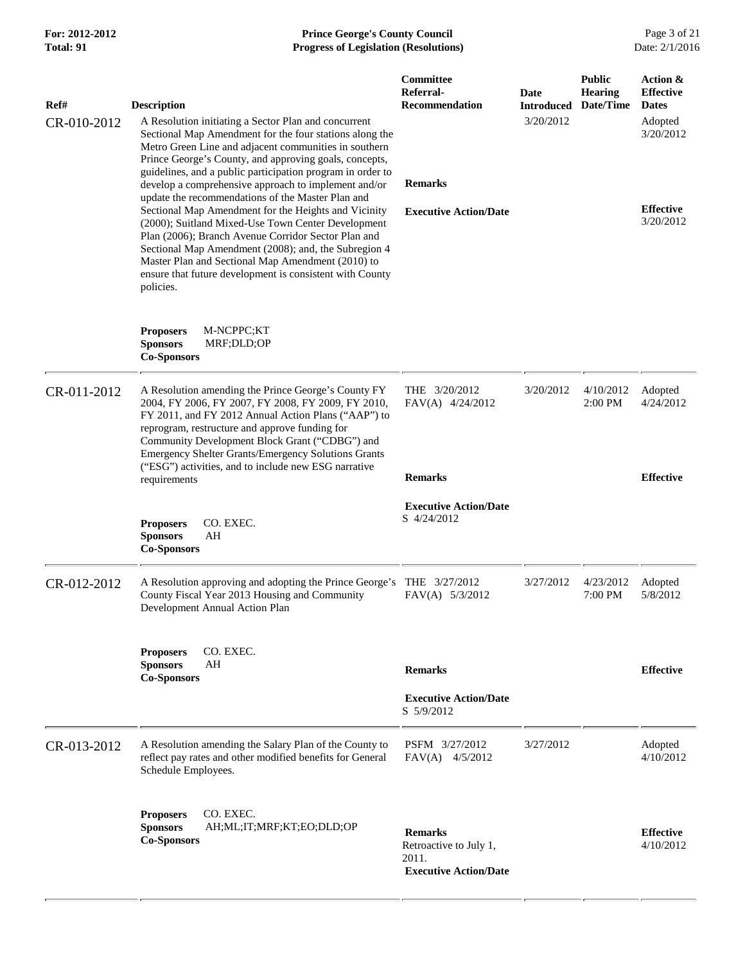## **For: 2012-2012 Prince George's County Council** Page 3 of 21<br> **Prince George's County Council** Page 3 of 21<br> **Progress of Legislation (Resolutions)** Date: 2/1/2016 **Progress of Legislation (Resolutions)**

| Ref#<br>CR-010-2012 | <b>Description</b><br>A Resolution initiating a Sector Plan and concurrent<br>Sectional Map Amendment for the four stations along the<br>Metro Green Line and adjacent communities in southern<br>Prince George's County, and approving goals, concepts,<br>guidelines, and a public participation program in order to<br>develop a comprehensive approach to implement and/or<br>update the recommendations of the Master Plan and<br>Sectional Map Amendment for the Heights and Vicinity<br>(2000); Suitland Mixed-Use Town Center Development<br>Plan (2006); Branch Avenue Corridor Sector Plan and<br>Sectional Map Amendment (2008); and, the Subregion 4<br>Master Plan and Sectional Map Amendment (2010) to<br>ensure that future development is consistent with County<br>policies. | Committee<br>Referral-<br><b>Recommendation</b><br><b>Remarks</b><br><b>Executive Action/Date</b> | Date<br><b>Introduced</b><br>3/20/2012 | <b>Public</b><br><b>Hearing</b><br>Date/Time | Action &<br><b>Effective</b><br><b>Dates</b><br>Adopted<br>3/20/2012<br><b>Effective</b><br>3/20/2012 |
|---------------------|------------------------------------------------------------------------------------------------------------------------------------------------------------------------------------------------------------------------------------------------------------------------------------------------------------------------------------------------------------------------------------------------------------------------------------------------------------------------------------------------------------------------------------------------------------------------------------------------------------------------------------------------------------------------------------------------------------------------------------------------------------------------------------------------|---------------------------------------------------------------------------------------------------|----------------------------------------|----------------------------------------------|-------------------------------------------------------------------------------------------------------|
|                     | M-NCPPC;KT<br><b>Proposers</b><br><b>Sponsors</b><br>MRF;DLD;OP<br><b>Co-Sponsors</b>                                                                                                                                                                                                                                                                                                                                                                                                                                                                                                                                                                                                                                                                                                          |                                                                                                   |                                        |                                              |                                                                                                       |
| CR-011-2012         | A Resolution amending the Prince George's County FY<br>2004, FY 2006, FY 2007, FY 2008, FY 2009, FY 2010,<br>FY 2011, and FY 2012 Annual Action Plans ("AAP") to<br>reprogram, restructure and approve funding for<br>Community Development Block Grant ("CDBG") and<br>Emergency Shelter Grants/Emergency Solutions Grants<br>("ESG") activities, and to include new ESG narrative<br>requirements                                                                                                                                                                                                                                                                                                                                                                                            | THE 3/20/2012<br>$FAV(A)$ 4/24/2012<br><b>Remarks</b>                                             | 3/20/2012                              | 4/10/2012<br>2:00 PM                         | Adopted<br>4/24/2012<br><b>Effective</b>                                                              |
|                     | <b>Proposers</b><br>CO. EXEC.<br><b>Sponsors</b><br>AH<br><b>Co-Sponsors</b>                                                                                                                                                                                                                                                                                                                                                                                                                                                                                                                                                                                                                                                                                                                   | <b>Executive Action/Date</b><br>S 4/24/2012                                                       |                                        |                                              |                                                                                                       |
| CR-012-2012         | A Resolution approving and adopting the Prince George's<br>County Fiscal Year 2013 Housing and Community<br>Development Annual Action Plan                                                                                                                                                                                                                                                                                                                                                                                                                                                                                                                                                                                                                                                     | THE 3/27/2012<br>FAV(A) 5/3/2012                                                                  | 3/27/2012                              | 4/23/2012<br>7:00 PM                         | Adopted<br>5/8/2012                                                                                   |
|                     | CO. EXEC.<br><b>Proposers</b><br><b>Sponsors</b><br>AΗ<br><b>Co-Sponsors</b>                                                                                                                                                                                                                                                                                                                                                                                                                                                                                                                                                                                                                                                                                                                   | <b>Remarks</b><br><b>Executive Action/Date</b>                                                    |                                        |                                              | <b>Effective</b>                                                                                      |
|                     |                                                                                                                                                                                                                                                                                                                                                                                                                                                                                                                                                                                                                                                                                                                                                                                                | S 5/9/2012                                                                                        |                                        |                                              |                                                                                                       |
| CR-013-2012         | A Resolution amending the Salary Plan of the County to<br>reflect pay rates and other modified benefits for General<br>Schedule Employees.                                                                                                                                                                                                                                                                                                                                                                                                                                                                                                                                                                                                                                                     | PSFM 3/27/2012<br>$FAV(A)$ 4/5/2012                                                               | 3/27/2012                              |                                              | Adopted<br>4/10/2012                                                                                  |
|                     | CO. EXEC.<br><b>Proposers</b><br><b>Sponsors</b><br>AH;ML;IT;MRF;KT;EO;DLD;OP<br><b>Co-Sponsors</b>                                                                                                                                                                                                                                                                                                                                                                                                                                                                                                                                                                                                                                                                                            | <b>Remarks</b><br>Retroactive to July 1,<br>2011.<br><b>Executive Action/Date</b>                 |                                        |                                              | <b>Effective</b><br>4/10/2012                                                                         |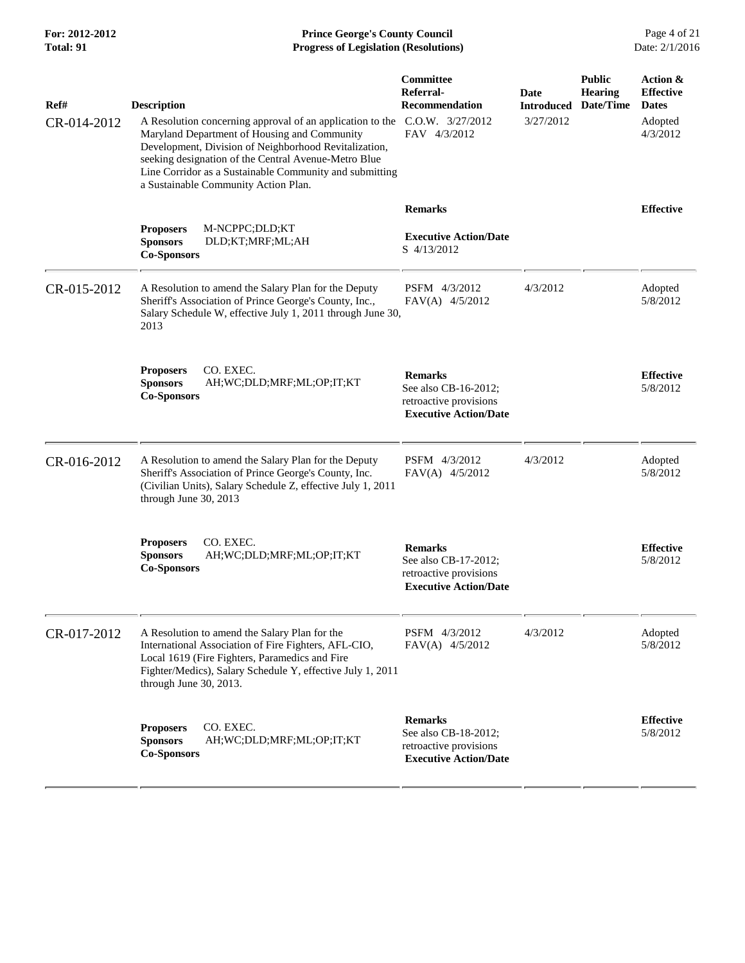| Ref#<br>CR-014-2012 | <b>Description</b><br>A Resolution concerning approval of an application to the C.O.W. 3/27/2012<br>Maryland Department of Housing and Community<br>Development, Division of Neighborhood Revitalization,<br>seeking designation of the Central Avenue-Metro Blue<br>Line Corridor as a Sustainable Community and submitting<br>a Sustainable Community Action Plan. | Committee<br>Referral-<br><b>Recommendation</b><br>FAV 4/3/2012                                  | <b>Date</b><br><b>Introduced</b><br>3/27/2012 | <b>Public</b><br><b>Hearing</b><br>Date/Time | Action &<br><b>Effective</b><br><b>Dates</b><br>Adopted<br>4/3/2012 |
|---------------------|----------------------------------------------------------------------------------------------------------------------------------------------------------------------------------------------------------------------------------------------------------------------------------------------------------------------------------------------------------------------|--------------------------------------------------------------------------------------------------|-----------------------------------------------|----------------------------------------------|---------------------------------------------------------------------|
|                     | M-NCPPC;DLD;KT<br><b>Proposers</b><br><b>Sponsors</b><br>DLD;KT;MRF;ML;AH<br><b>Co-Sponsors</b>                                                                                                                                                                                                                                                                      | <b>Remarks</b><br><b>Executive Action/Date</b><br>S 4/13/2012                                    |                                               |                                              | <b>Effective</b>                                                    |
| CR-015-2012         | A Resolution to amend the Salary Plan for the Deputy<br>Sheriff's Association of Prince George's County, Inc.,<br>Salary Schedule W, effective July 1, 2011 through June 30,<br>2013                                                                                                                                                                                 | PSFM 4/3/2012<br>FAV(A) 4/5/2012                                                                 | 4/3/2012                                      |                                              | Adopted<br>5/8/2012                                                 |
|                     | <b>Proposers</b><br>CO. EXEC.<br>AH; WC; DLD; MRF; ML; OP; IT; KT<br><b>Sponsors</b><br><b>Co-Sponsors</b>                                                                                                                                                                                                                                                           | <b>Remarks</b><br>See also CB-16-2012;<br>retroactive provisions<br><b>Executive Action/Date</b> |                                               |                                              | <b>Effective</b><br>5/8/2012                                        |
| CR-016-2012         | A Resolution to amend the Salary Plan for the Deputy<br>Sheriff's Association of Prince George's County, Inc.<br>(Civilian Units), Salary Schedule Z, effective July 1, 2011<br>through June 30, 2013                                                                                                                                                                | PSFM 4/3/2012<br>FAV(A) 4/5/2012                                                                 | 4/3/2012                                      |                                              | Adopted<br>5/8/2012                                                 |
|                     | CO. EXEC.<br><b>Proposers</b><br><b>Sponsors</b><br>AH;WC;DLD;MRF;ML;OP;IT;KT<br><b>Co-Sponsors</b>                                                                                                                                                                                                                                                                  | <b>Remarks</b><br>See also CB-17-2012;<br>retroactive provisions<br><b>Executive Action/Date</b> |                                               |                                              | <b>Effective</b><br>5/8/2012                                        |
| CR-017-2012         | A Resolution to amend the Salary Plan for the<br>International Association of Fire Fighters, AFL-CIO,<br>Local 1619 (Fire Fighters, Paramedics and Fire<br>Fighter/Medics), Salary Schedule Y, effective July 1, 2011<br>through June 30, 2013.                                                                                                                      | PSFM 4/3/2012<br>$FAV(A)$ 4/5/2012                                                               | 4/3/2012                                      |                                              | Adopted<br>5/8/2012                                                 |
|                     | CO. EXEC.<br><b>Proposers</b><br><b>Sponsors</b><br>AH;WC;DLD;MRF;ML;OP;IT;KT<br><b>Co-Sponsors</b>                                                                                                                                                                                                                                                                  | <b>Remarks</b><br>See also CB-18-2012;<br>retroactive provisions<br><b>Executive Action/Date</b> |                                               |                                              | <b>Effective</b><br>5/8/2012                                        |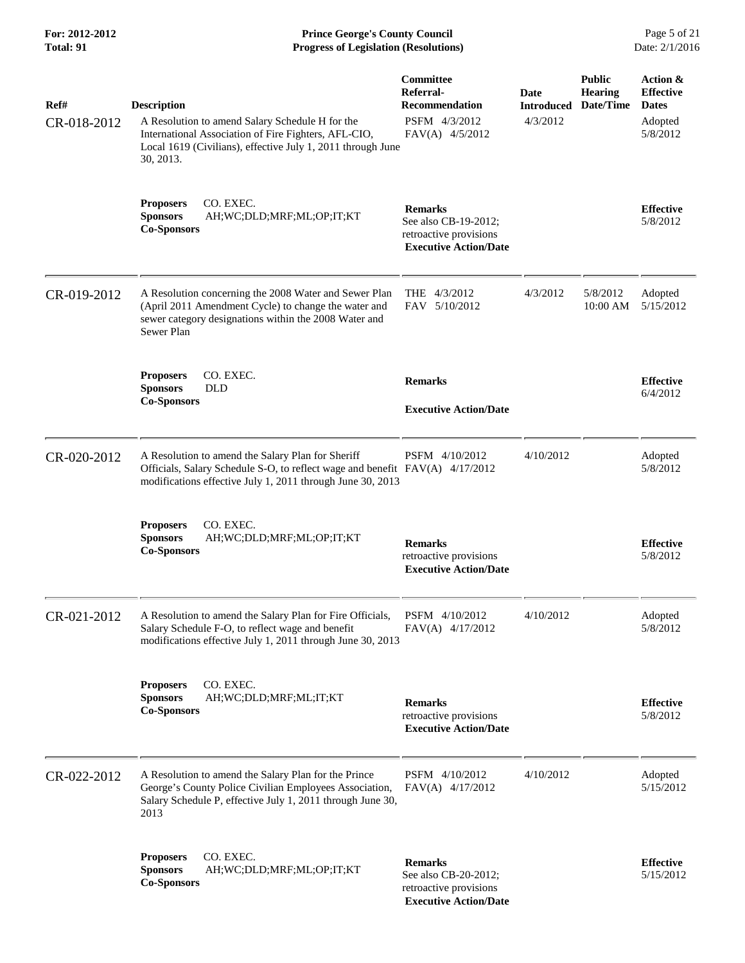**For: 2012-2012 Prince George's County Council** Page 5 of 21<br>**Progress of Legislation (Resolutions)** Date: 2/1/2016 **Progress of Legislation (Resolutions)** 

| Ref#        | <b>Description</b>                                                                                                                                                                              | Committee<br>Referral-<br><b>Recommendation</b>                                                  | <b>Date</b><br><b>Introduced</b> | <b>Public</b><br><b>Hearing</b><br>Date/Time | Action &<br><b>Effective</b><br><b>Dates</b> |
|-------------|-------------------------------------------------------------------------------------------------------------------------------------------------------------------------------------------------|--------------------------------------------------------------------------------------------------|----------------------------------|----------------------------------------------|----------------------------------------------|
| CR-018-2012 | A Resolution to amend Salary Schedule H for the<br>International Association of Fire Fighters, AFL-CIO,<br>Local 1619 (Civilians), effective July 1, 2011 through June<br>30, 2013.             | PSFM 4/3/2012<br>FAV(A) 4/5/2012                                                                 | 4/3/2012                         |                                              | Adopted<br>5/8/2012                          |
|             | CO. EXEC.<br><b>Proposers</b><br><b>Sponsors</b><br>AH;WC;DLD;MRF;ML;OP;IT;KT<br><b>Co-Sponsors</b>                                                                                             | <b>Remarks</b><br>See also CB-19-2012;<br>retroactive provisions<br><b>Executive Action/Date</b> |                                  |                                              | <b>Effective</b><br>5/8/2012                 |
| CR-019-2012 | A Resolution concerning the 2008 Water and Sewer Plan<br>(April 2011 Amendment Cycle) to change the water and<br>sewer category designations within the 2008 Water and<br>Sewer Plan            | THE 4/3/2012<br>FAV 5/10/2012                                                                    | 4/3/2012                         | 5/8/2012<br>10:00 AM                         | Adopted<br>5/15/2012                         |
|             | CO. EXEC.<br><b>Proposers</b><br><b>DLD</b><br><b>Sponsors</b><br><b>Co-Sponsors</b>                                                                                                            | <b>Remarks</b><br><b>Executive Action/Date</b>                                                   |                                  |                                              | <b>Effective</b><br>6/4/2012                 |
|             |                                                                                                                                                                                                 |                                                                                                  |                                  |                                              |                                              |
| CR-020-2012 | A Resolution to amend the Salary Plan for Sheriff<br>Officials, Salary Schedule S-O, to reflect wage and benefit FAV(A) 4/17/2012<br>modifications effective July 1, 2011 through June 30, 2013 | PSFM 4/10/2012                                                                                   | 4/10/2012                        |                                              | Adopted<br>5/8/2012                          |
|             | CO. EXEC.<br><b>Proposers</b><br><b>Sponsors</b><br>AH;WC;DLD;MRF;ML;OP;IT;KT<br><b>Co-Sponsors</b>                                                                                             | <b>Remarks</b><br>retroactive provisions<br><b>Executive Action/Date</b>                         |                                  |                                              | <b>Effective</b><br>5/8/2012                 |
| CR-021-2012 | A Resolution to amend the Salary Plan for Fire Officials,<br>Salary Schedule F-O, to reflect wage and benefit<br>modifications effective July 1, 2011 through June 30, 2013                     | PSFM 4/10/2012<br>FAV(A) 4/17/2012                                                               | 4/10/2012                        |                                              | Adopted<br>5/8/2012                          |
|             | CO. EXEC.<br><b>Proposers</b><br><b>Sponsors</b><br>AH;WC;DLD;MRF;ML;IT;KT<br><b>Co-Sponsors</b>                                                                                                | <b>Remarks</b><br>retroactive provisions<br><b>Executive Action/Date</b>                         |                                  |                                              | <b>Effective</b><br>5/8/2012                 |
| CR-022-2012 | A Resolution to amend the Salary Plan for the Prince<br>George's County Police Civilian Employees Association,<br>Salary Schedule P, effective July 1, 2011 through June 30,<br>2013            | PSFM 4/10/2012<br>FAV(A) 4/17/2012                                                               | 4/10/2012                        |                                              | Adopted<br>5/15/2012                         |
|             | CO. EXEC.<br><b>Proposers</b><br><b>Sponsors</b><br>AH;WC;DLD;MRF;ML;OP;IT;KT<br><b>Co-Sponsors</b>                                                                                             | <b>Remarks</b><br>See also CB-20-2012;<br>retroactive provisions<br><b>Executive Action/Date</b> |                                  |                                              | <b>Effective</b><br>5/15/2012                |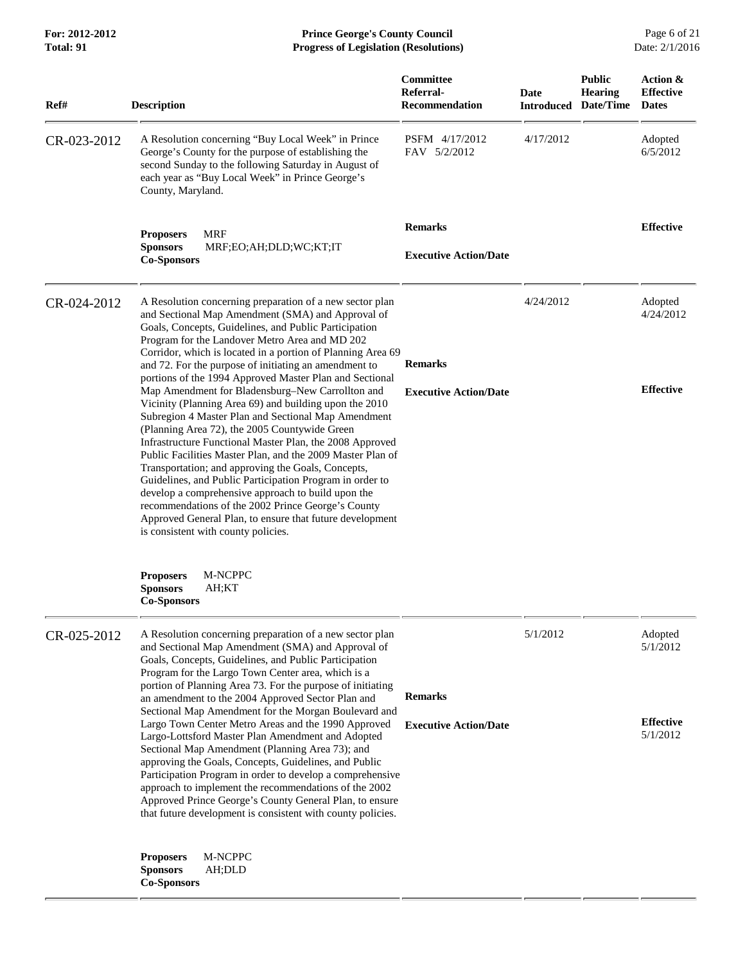## **For: 2012-2012 Prince George's County Council** Page 6 of 21<br> **Prince George's County Council** Page 6 of 21<br> **Progress of Legislation (Resolutions)** Date: 2/1/2016 **Progress of Legislation (Resolutions)**

| Ref#        | <b>Description</b>                                                                                                                                                                                                                                                                                                                                                                                                                                                                                                                                                                                                                                                                                                                                                                                                                                                                                                                                                                                                                                                                           | <b>Committee</b><br>Referral-<br><b>Recommendation</b> | <b>Date</b><br><b>Introduced</b> | <b>Public</b><br><b>Hearing</b><br>Date/Time | Action &<br><b>Effective</b><br><b>Dates</b>        |
|-------------|----------------------------------------------------------------------------------------------------------------------------------------------------------------------------------------------------------------------------------------------------------------------------------------------------------------------------------------------------------------------------------------------------------------------------------------------------------------------------------------------------------------------------------------------------------------------------------------------------------------------------------------------------------------------------------------------------------------------------------------------------------------------------------------------------------------------------------------------------------------------------------------------------------------------------------------------------------------------------------------------------------------------------------------------------------------------------------------------|--------------------------------------------------------|----------------------------------|----------------------------------------------|-----------------------------------------------------|
| CR-023-2012 | A Resolution concerning "Buy Local Week" in Prince<br>George's County for the purpose of establishing the<br>second Sunday to the following Saturday in August of<br>each year as "Buy Local Week" in Prince George's<br>County, Maryland.                                                                                                                                                                                                                                                                                                                                                                                                                                                                                                                                                                                                                                                                                                                                                                                                                                                   | PSFM 4/17/2012<br>FAV 5/2/2012                         | 4/17/2012                        |                                              | Adopted<br>6/5/2012                                 |
|             | <b>MRF</b><br><b>Proposers</b><br><b>Sponsors</b><br>MRF;EO;AH;DLD;WC;KT;IT<br><b>Co-Sponsors</b>                                                                                                                                                                                                                                                                                                                                                                                                                                                                                                                                                                                                                                                                                                                                                                                                                                                                                                                                                                                            | <b>Remarks</b><br><b>Executive Action/Date</b>         |                                  |                                              | <b>Effective</b>                                    |
| CR-024-2012 | A Resolution concerning preparation of a new sector plan<br>and Sectional Map Amendment (SMA) and Approval of<br>Goals, Concepts, Guidelines, and Public Participation<br>Program for the Landover Metro Area and MD 202<br>Corridor, which is located in a portion of Planning Area 69<br>and 72. For the purpose of initiating an amendment to<br>portions of the 1994 Approved Master Plan and Sectional<br>Map Amendment for Bladensburg-New Carrollton and<br>Vicinity (Planning Area 69) and building upon the 2010<br>Subregion 4 Master Plan and Sectional Map Amendment<br>(Planning Area 72), the 2005 Countywide Green<br>Infrastructure Functional Master Plan, the 2008 Approved<br>Public Facilities Master Plan, and the 2009 Master Plan of<br>Transportation; and approving the Goals, Concepts,<br>Guidelines, and Public Participation Program in order to<br>develop a comprehensive approach to build upon the<br>recommendations of the 2002 Prince George's County<br>Approved General Plan, to ensure that future development<br>is consistent with county policies. | <b>Remarks</b><br><b>Executive Action/Date</b>         | 4/24/2012                        |                                              | Adopted<br>4/24/2012<br><b>Effective</b>            |
|             | M-NCPPC<br><b>Proposers</b><br><b>Sponsors</b><br>AH;KT<br><b>Co-Sponsors</b>                                                                                                                                                                                                                                                                                                                                                                                                                                                                                                                                                                                                                                                                                                                                                                                                                                                                                                                                                                                                                |                                                        |                                  |                                              |                                                     |
| CR-025-2012 | A Resolution concerning preparation of a new sector plan<br>and Sectional Map Amendment (SMA) and Approval of<br>Goals, Concepts, Guidelines, and Public Participation<br>Program for the Largo Town Center area, which is a<br>portion of Planning Area 73. For the purpose of initiating<br>an amendment to the 2004 Approved Sector Plan and<br>Sectional Map Amendment for the Morgan Boulevard and<br>Largo Town Center Metro Areas and the 1990 Approved<br>Largo-Lottsford Master Plan Amendment and Adopted<br>Sectional Map Amendment (Planning Area 73); and<br>approving the Goals, Concepts, Guidelines, and Public<br>Participation Program in order to develop a comprehensive<br>approach to implement the recommendations of the 2002<br>Approved Prince George's County General Plan, to ensure<br>that future development is consistent with county policies.                                                                                                                                                                                                              | <b>Remarks</b><br><b>Executive Action/Date</b>         | 5/1/2012                         |                                              | Adopted<br>5/1/2012<br><b>Effective</b><br>5/1/2012 |
|             | M-NCPPC<br><b>Proposers</b><br><b>Sponsors</b><br>AH;DLD<br><b>Co-Sponsors</b>                                                                                                                                                                                                                                                                                                                                                                                                                                                                                                                                                                                                                                                                                                                                                                                                                                                                                                                                                                                                               |                                                        |                                  |                                              |                                                     |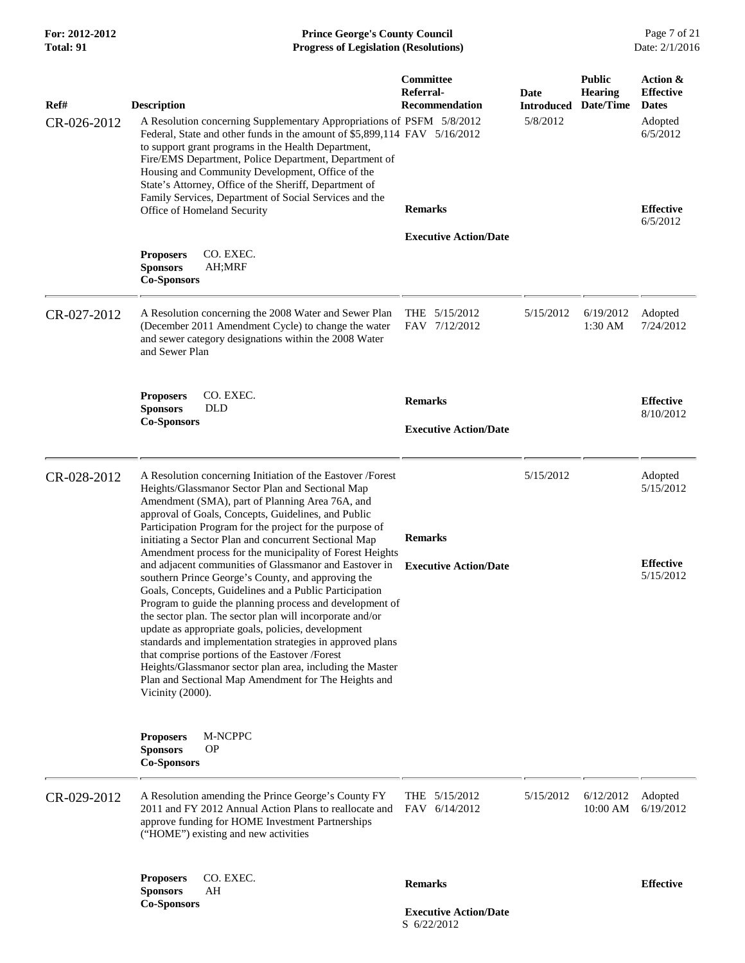| For: 2012-2012<br>Total: 91 | <b>Prince George's County Council</b><br><b>Progress of Legislation (Resolutions)</b>                                                                                                                                                                                                                                                                                                                                                                                                                                                                                               |                                                                          |                                       |                                              | Page 7 of 21<br>Date: 2/1/2016                                                          |
|-----------------------------|-------------------------------------------------------------------------------------------------------------------------------------------------------------------------------------------------------------------------------------------------------------------------------------------------------------------------------------------------------------------------------------------------------------------------------------------------------------------------------------------------------------------------------------------------------------------------------------|--------------------------------------------------------------------------|---------------------------------------|----------------------------------------------|-----------------------------------------------------------------------------------------|
| Ref#<br>CR-026-2012         | <b>Description</b><br>A Resolution concerning Supplementary Appropriations of PSFM 5/8/2012<br>Federal, State and other funds in the amount of \$5,899,114 FAV 5/16/2012<br>to support grant programs in the Health Department,<br>Fire/EMS Department, Police Department, Department of<br>Housing and Community Development, Office of the<br>State's Attorney, Office of the Sheriff, Department of<br>Family Services, Department of Social Services and the<br>Office of Homeland Security                                                                                     | <b>Committee</b><br>Referral-<br><b>Recommendation</b><br><b>Remarks</b> | Date<br><b>Introduced</b><br>5/8/2012 | <b>Public</b><br><b>Hearing</b><br>Date/Time | Action &<br><b>Effective</b><br><b>Dates</b><br>Adopted<br>6/5/2012<br><b>Effective</b> |
|                             | CO. EXEC.<br><b>Proposers</b><br><b>Sponsors</b><br>AH;MRF<br><b>Co-Sponsors</b>                                                                                                                                                                                                                                                                                                                                                                                                                                                                                                    | <b>Executive Action/Date</b>                                             |                                       |                                              | 6/5/2012                                                                                |
| CR-027-2012                 | A Resolution concerning the 2008 Water and Sewer Plan<br>(December 2011 Amendment Cycle) to change the water<br>and sewer category designations within the 2008 Water<br>and Sewer Plan                                                                                                                                                                                                                                                                                                                                                                                             | THE $5/15/2012$<br>FAV 7/12/2012                                         | 5/15/2012                             | 6/19/2012<br>$1:30$ AM                       | Adopted<br>7/24/2012                                                                    |
|                             | <b>Proposers</b><br>CO. EXEC.<br><b>Sponsors</b><br><b>DLD</b><br><b>Co-Sponsors</b>                                                                                                                                                                                                                                                                                                                                                                                                                                                                                                | <b>Remarks</b><br><b>Executive Action/Date</b>                           |                                       |                                              | <b>Effective</b><br>8/10/2012                                                           |
| CR-028-2012                 | A Resolution concerning Initiation of the Eastover /Forest<br>Heights/Glassmanor Sector Plan and Sectional Map<br>Amendment (SMA), part of Planning Area 76A, and<br>approval of Goals, Concepts, Guidelines, and Public<br>Participation Program for the project for the purpose of<br>initiating a Sector Plan and concurrent Sectional Map<br>Amendment process for the municipality of Forest Heights<br>and adjacent communities of Glassmanor and Eastover in<br>southern Prince George's County, and approving the<br>Goals, Concepts, Guidelines and a Public Participation | <b>Remarks</b><br><b>Executive Action/Date</b>                           | 5/15/2012                             |                                              | Adopted<br>5/15/2012<br><b>Effective</b><br>5/15/2012                                   |
|                             | Program to guide the planning process and development of<br>the sector plan. The sector plan will incorporate and/or<br>update as appropriate goals, policies, development<br>standards and implementation strategies in approved plans<br>that comprise portions of the Eastover /Forest<br>Heights/Glassmanor sector plan area, including the Master<br>Plan and Sectional Map Amendment for The Heights and<br>Vicinity (2000).                                                                                                                                                  |                                                                          |                                       |                                              |                                                                                         |
|                             | M-NCPPC<br><b>Proposers</b><br><b>Sponsors</b><br><b>OP</b><br><b>Co-Sponsors</b>                                                                                                                                                                                                                                                                                                                                                                                                                                                                                                   |                                                                          |                                       |                                              |                                                                                         |
| CR-029-2012                 | A Resolution amending the Prince George's County FY<br>2011 and FY 2012 Annual Action Plans to reallocate and<br>approve funding for HOME Investment Partnerships<br>("HOME") existing and new activities                                                                                                                                                                                                                                                                                                                                                                           | THE $5/15/2012$<br>FAV 6/14/2012                                         | 5/15/2012                             | 6/12/2012<br>10:00 AM                        | Adopted<br>6/19/2012                                                                    |
|                             | CO. EXEC.<br><b>Proposers</b><br>AH<br><b>Sponsors</b><br><b>Co-Sponsors</b>                                                                                                                                                                                                                                                                                                                                                                                                                                                                                                        | <b>Remarks</b><br><b>Executive Action/Date</b><br>S 6/22/2012            |                                       |                                              | <b>Effective</b>                                                                        |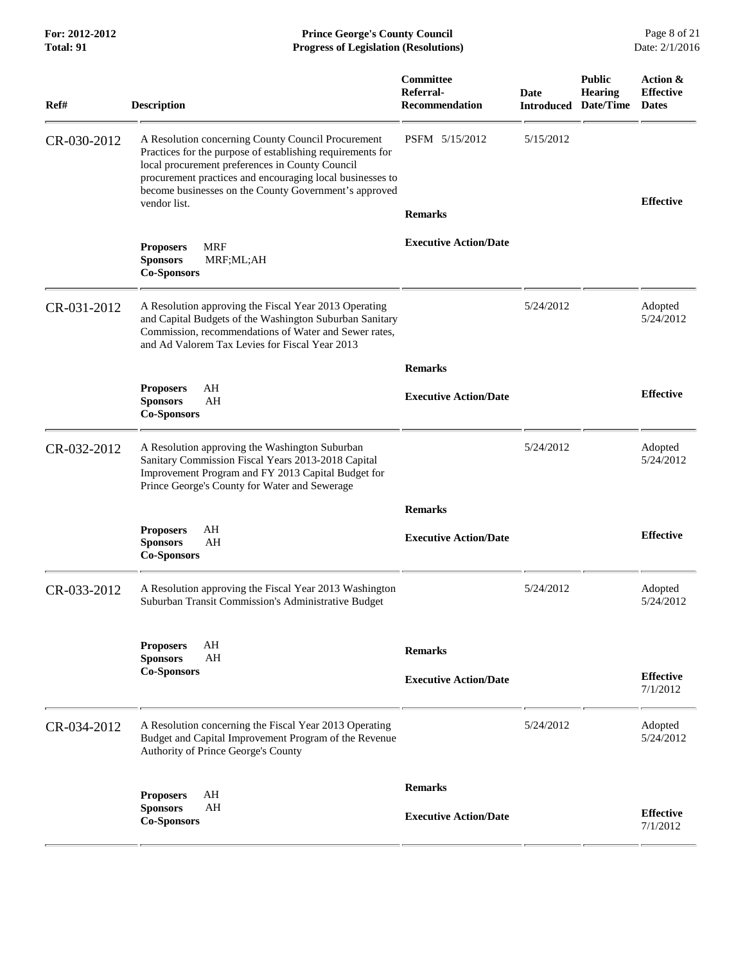| <b>Total: 91</b> | <b>Progress of Legislation (Resolutions)</b>                                                                                                                                                                                                                                                              |                                                 |                                            |                                 | Date: 2/1/2016                               |
|------------------|-----------------------------------------------------------------------------------------------------------------------------------------------------------------------------------------------------------------------------------------------------------------------------------------------------------|-------------------------------------------------|--------------------------------------------|---------------------------------|----------------------------------------------|
| Ref#             | <b>Description</b>                                                                                                                                                                                                                                                                                        | <b>Committee</b><br>Referral-<br>Recommendation | <b>Date</b><br><b>Introduced Date/Time</b> | <b>Public</b><br><b>Hearing</b> | Action &<br><b>Effective</b><br><b>Dates</b> |
| CR-030-2012      | A Resolution concerning County Council Procurement<br>Practices for the purpose of establishing requirements for<br>local procurement preferences in County Council<br>procurement practices and encouraging local businesses to<br>become businesses on the County Government's approved<br>vendor list. | PSFM 5/15/2012<br><b>Remarks</b>                | 5/15/2012                                  |                                 | <b>Effective</b>                             |
|                  | <b>MRF</b><br><b>Proposers</b><br><b>Sponsors</b><br>MRF;ML;AH<br><b>Co-Sponsors</b>                                                                                                                                                                                                                      | <b>Executive Action/Date</b>                    |                                            |                                 |                                              |
| CR-031-2012      | A Resolution approving the Fiscal Year 2013 Operating<br>and Capital Budgets of the Washington Suburban Sanitary<br>Commission, recommendations of Water and Sewer rates,<br>and Ad Valorem Tax Levies for Fiscal Year 2013                                                                               |                                                 | 5/24/2012                                  |                                 | Adopted<br>5/24/2012                         |
|                  |                                                                                                                                                                                                                                                                                                           | <b>Remarks</b>                                  |                                            |                                 |                                              |
|                  | AH<br><b>Proposers</b><br>AH<br><b>Sponsors</b><br><b>Co-Sponsors</b>                                                                                                                                                                                                                                     | <b>Executive Action/Date</b>                    |                                            |                                 | <b>Effective</b>                             |
| CR-032-2012      | A Resolution approving the Washington Suburban<br>Sanitary Commission Fiscal Years 2013-2018 Capital<br>Improvement Program and FY 2013 Capital Budget for<br>Prince George's County for Water and Sewerage                                                                                               |                                                 | 5/24/2012                                  |                                 | Adopted<br>5/24/2012                         |
|                  |                                                                                                                                                                                                                                                                                                           | <b>Remarks</b>                                  |                                            |                                 |                                              |
|                  | AH<br><b>Proposers</b><br>AH<br><b>Sponsors</b><br><b>Co-Sponsors</b>                                                                                                                                                                                                                                     | <b>Executive Action/Date</b>                    |                                            |                                 | <b>Effective</b>                             |
| CR-033-2012      | A Resolution approving the Fiscal Year 2013 Washington<br>Suburban Transit Commission's Administrative Budget                                                                                                                                                                                             |                                                 | 5/24/2012                                  |                                 | Adopted<br>5/24/2012                         |
|                  | AH<br><b>Proposers</b><br><b>Sponsors</b><br>AH                                                                                                                                                                                                                                                           | <b>Remarks</b>                                  |                                            |                                 |                                              |
|                  | <b>Co-Sponsors</b>                                                                                                                                                                                                                                                                                        | <b>Executive Action/Date</b>                    |                                            |                                 | <b>Effective</b><br>7/1/2012                 |
| CR-034-2012      | A Resolution concerning the Fiscal Year 2013 Operating<br>Budget and Capital Improvement Program of the Revenue<br>Authority of Prince George's County                                                                                                                                                    |                                                 | 5/24/2012                                  |                                 | Adopted<br>5/24/2012                         |
|                  |                                                                                                                                                                                                                                                                                                           | <b>Remarks</b>                                  |                                            |                                 |                                              |
|                  | AH<br><b>Proposers</b><br>AH<br><b>Sponsors</b><br><b>Co-Sponsors</b>                                                                                                                                                                                                                                     | <b>Executive Action/Date</b>                    |                                            |                                 | <b>Effective</b><br>7/1/2012                 |

**For: 2012-2012 Prince George's County Council** Page 8 of 21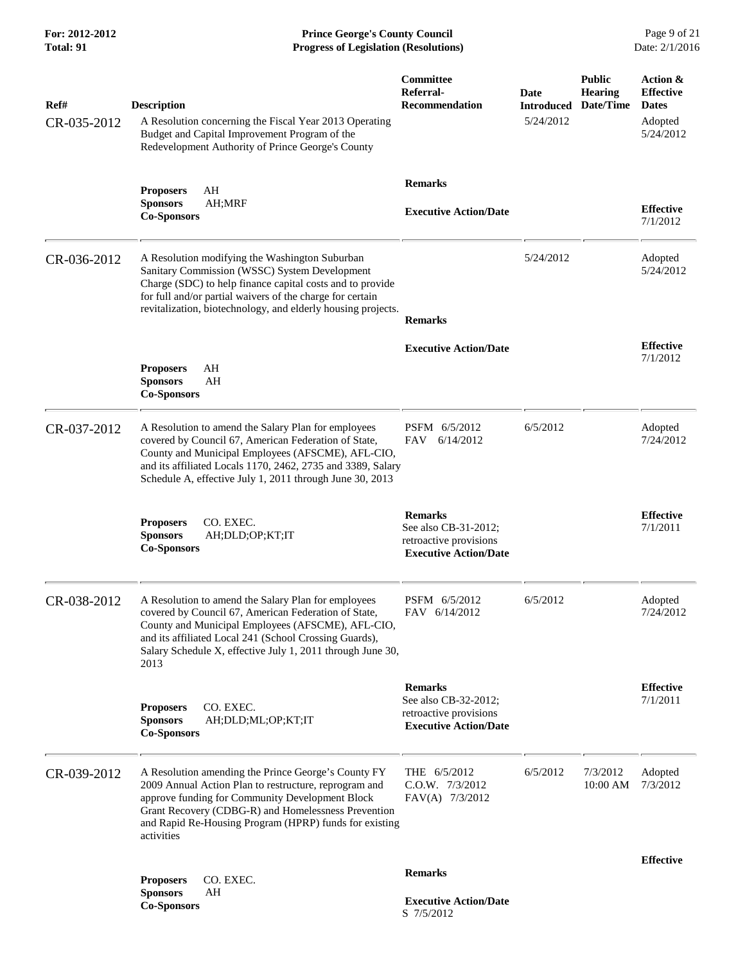**For: 2012-2012 Prince George's County Council** Page 9 of 21<br> **Prince George's County Council** Page 9 of 21<br> **Progress of Legislation (Resolutions)** Date: 2/1/2016 **Progress of Legislation (Resolutions)** 

| Ref#<br>CR-035-2012 | <b>Description</b><br>A Resolution concerning the Fiscal Year 2013 Operating<br>Budget and Capital Improvement Program of the<br>Redevelopment Authority of Prince George's County                                                                                                               | Committee<br>Referral-<br><b>Recommendation</b>                                                  | Date<br><b>Introduced</b><br>5/24/2012 | <b>Public</b><br>Hearing<br>Date/Time | Action &<br><b>Effective</b><br><b>Dates</b><br>Adopted<br>5/24/2012 |
|---------------------|--------------------------------------------------------------------------------------------------------------------------------------------------------------------------------------------------------------------------------------------------------------------------------------------------|--------------------------------------------------------------------------------------------------|----------------------------------------|---------------------------------------|----------------------------------------------------------------------|
|                     | AH<br><b>Proposers</b><br>AH;MRF<br><b>Sponsors</b><br><b>Co-Sponsors</b>                                                                                                                                                                                                                        | <b>Remarks</b><br><b>Executive Action/Date</b>                                                   |                                        |                                       | <b>Effective</b><br>7/1/2012                                         |
| CR-036-2012         | A Resolution modifying the Washington Suburban<br>Sanitary Commission (WSSC) System Development<br>Charge (SDC) to help finance capital costs and to provide<br>for full and/or partial waivers of the charge for certain<br>revitalization, biotechnology, and elderly housing projects.        | <b>Remarks</b>                                                                                   | 5/24/2012                              |                                       | Adopted<br>5/24/2012                                                 |
|                     | AH<br><b>Proposers</b><br><b>Sponsors</b><br>AH<br><b>Co-Sponsors</b>                                                                                                                                                                                                                            | <b>Executive Action/Date</b>                                                                     |                                        |                                       | <b>Effective</b><br>7/1/2012                                         |
| CR-037-2012         | A Resolution to amend the Salary Plan for employees<br>covered by Council 67, American Federation of State,<br>County and Municipal Employees (AFSCME), AFL-CIO,<br>and its affiliated Locals 1170, 2462, 2735 and 3389, Salary<br>Schedule A, effective July 1, 2011 through June 30, 2013      | PSFM 6/5/2012<br>FAV<br>6/14/2012                                                                | 6/5/2012                               |                                       | Adopted<br>7/24/2012                                                 |
|                     | CO. EXEC.<br><b>Proposers</b><br><b>Sponsors</b><br>AH;DLD;OP;KT;IT<br><b>Co-Sponsors</b>                                                                                                                                                                                                        | <b>Remarks</b><br>See also CB-31-2012;<br>retroactive provisions<br><b>Executive Action/Date</b> |                                        |                                       | <b>Effective</b><br>7/1/2011                                         |
| CR-038-2012         | A Resolution to amend the Salary Plan for employees<br>covered by Council 67, American Federation of State,<br>County and Municipal Employees (AFSCME), AFL-CIO,<br>and its affiliated Local 241 (School Crossing Guards),<br>Salary Schedule X, effective July 1, 2011 through June 30,<br>2013 | PSFM 6/5/2012<br>FAV 6/14/2012                                                                   | 6/5/2012                               |                                       | Adopted<br>7/24/2012                                                 |
|                     | CO. EXEC.<br><b>Proposers</b><br><b>Sponsors</b><br>AH;DLD;ML;OP;KT;IT<br><b>Co-Sponsors</b>                                                                                                                                                                                                     | <b>Remarks</b><br>See also CB-32-2012;<br>retroactive provisions<br><b>Executive Action/Date</b> |                                        |                                       | <b>Effective</b><br>7/1/2011                                         |
| CR-039-2012         | A Resolution amending the Prince George's County FY<br>2009 Annual Action Plan to restructure, reprogram and<br>approve funding for Community Development Block<br>Grant Recovery (CDBG-R) and Homelessness Prevention<br>and Rapid Re-Housing Program (HPRP) funds for existing<br>activities   | THE 6/5/2012<br>$C.0.W.$ $7/3/2012$<br>FAV(A) 7/3/2012                                           | 6/5/2012                               | 7/3/2012<br>10:00 AM                  | Adopted<br>7/3/2012                                                  |
|                     |                                                                                                                                                                                                                                                                                                  | <b>Remarks</b>                                                                                   |                                        |                                       | <b>Effective</b>                                                     |
|                     | CO. EXEC.<br><b>Proposers</b><br><b>Sponsors</b><br>AH<br><b>Co-Sponsors</b>                                                                                                                                                                                                                     | <b>Executive Action/Date</b><br>S 7/5/2012                                                       |                                        |                                       |                                                                      |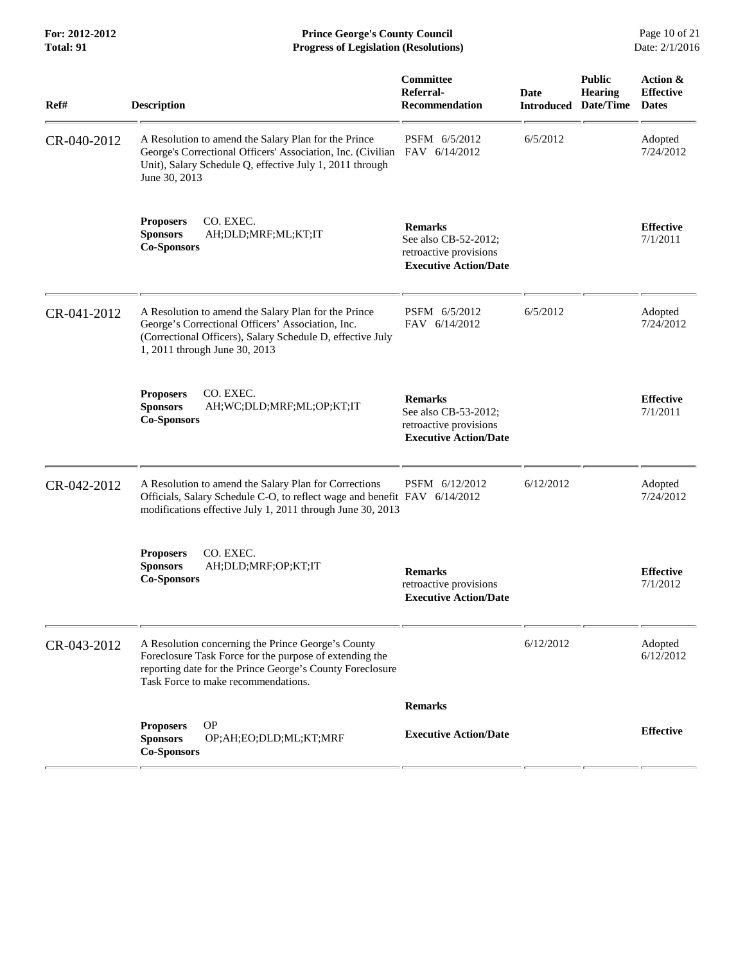**For: 2012-2012 Prince George's County Council** Page 10 of 21<br> **Prince George's County Council** Page 10 of 21<br> **Progress of Legislation (Resolutions)** Date: 2/1/2016 **Total: 91 Progress of Legislation (Resolutions)** 

| Ref#        | <b>Description</b>                                                                                                                                                                                                | Committee<br>Referral-<br><b>Recommendation</b>                                                  | Date<br><b>Introduced</b> | <b>Public</b><br><b>Hearing</b><br>Date/Time | Action &<br><b>Effective</b><br><b>Dates</b> |
|-------------|-------------------------------------------------------------------------------------------------------------------------------------------------------------------------------------------------------------------|--------------------------------------------------------------------------------------------------|---------------------------|----------------------------------------------|----------------------------------------------|
| CR-040-2012 | A Resolution to amend the Salary Plan for the Prince<br>George's Correctional Officers' Association, Inc. (Civilian FAV 6/14/2012<br>Unit), Salary Schedule Q, effective July 1, 2011 through<br>June 30, 2013    | PSFM 6/5/2012                                                                                    | 6/5/2012                  |                                              | Adopted<br>7/24/2012                         |
|             | CO. EXEC.<br><b>Proposers</b><br><b>Sponsors</b><br>AH;DLD;MRF;ML;KT;IT<br><b>Co-Sponsors</b>                                                                                                                     | <b>Remarks</b><br>See also CB-52-2012;<br>retroactive provisions<br><b>Executive Action/Date</b> |                           |                                              | <b>Effective</b><br>7/1/2011                 |
| CR-041-2012 | A Resolution to amend the Salary Plan for the Prince<br>George's Correctional Officers' Association, Inc.<br>(Correctional Officers), Salary Schedule D, effective July<br>1, 2011 through June 30, 2013          | PSFM 6/5/2012<br>FAV 6/14/2012                                                                   | 6/5/2012                  |                                              | Adopted<br>7/24/2012                         |
|             | <b>Proposers</b><br>CO. EXEC.<br><b>Sponsors</b><br>AH; WC; DLD; MRF; ML; OP; KT; IT<br><b>Co-Sponsors</b>                                                                                                        | <b>Remarks</b><br>See also CB-53-2012;<br>retroactive provisions<br><b>Executive Action/Date</b> |                           |                                              | <b>Effective</b><br>7/1/2011                 |
| CR-042-2012 | A Resolution to amend the Salary Plan for Corrections<br>Officials, Salary Schedule C-O, to reflect wage and benefit FAV 6/14/2012<br>modifications effective July 1, 2011 through June 30, 2013                  | PSFM 6/12/2012                                                                                   | 6/12/2012                 |                                              | Adopted<br>7/24/2012                         |
|             | CO. EXEC.<br><b>Proposers</b><br><b>Sponsors</b><br>AH;DLD;MRF;OP;KT;IT<br><b>Co-Sponsors</b>                                                                                                                     | <b>Remarks</b><br>retroactive provisions<br><b>Executive Action/Date</b>                         |                           |                                              | <b>Effective</b><br>7/1/2012                 |
| CR-043-2012 | A Resolution concerning the Prince George's County<br>Foreclosure Task Force for the purpose of extending the<br>reporting date for the Prince George's County Foreclosure<br>Task Force to make recommendations. |                                                                                                  | 6/12/2012                 |                                              | Adopted<br>6/12/2012                         |
|             |                                                                                                                                                                                                                   | <b>Remarks</b>                                                                                   |                           |                                              |                                              |
|             | <b>OP</b><br><b>Proposers</b><br><b>Sponsors</b><br>OP;AH;EO;DLD;ML;KT;MRF<br><b>Co-Sponsors</b>                                                                                                                  | <b>Executive Action/Date</b>                                                                     |                           |                                              | <b>Effective</b>                             |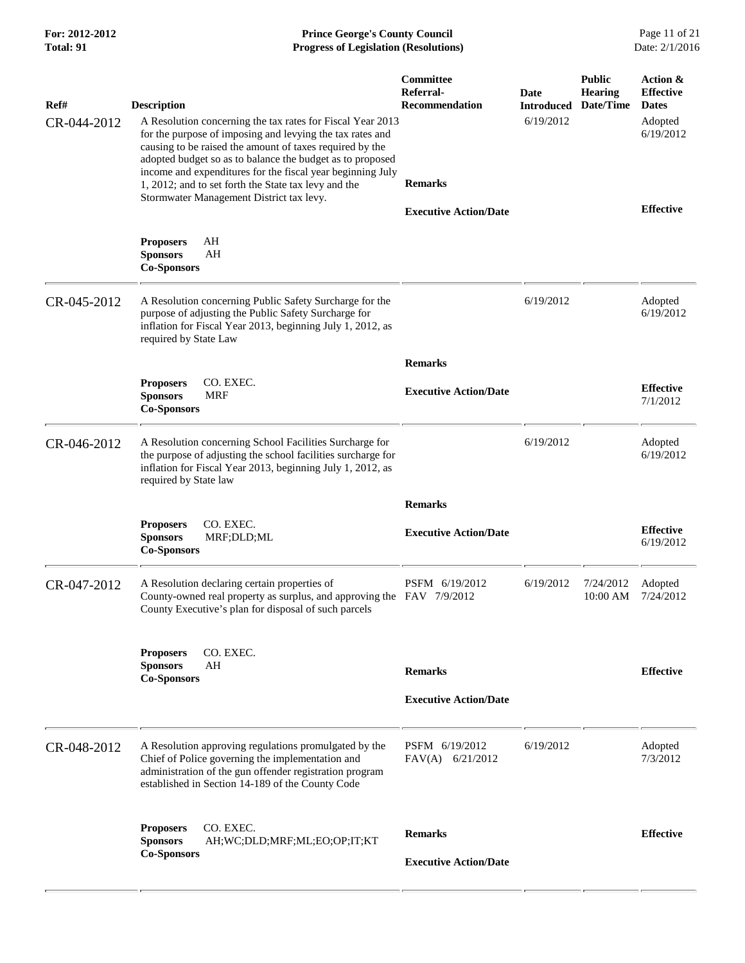| For: 2012-2012<br>Total: 91 | <b>Prince George's County Council</b><br>Date: 2/1/2016<br><b>Progress of Legislation (Resolutions)</b>                                                                                                                                                                                                                                                                                                                                  |                                                            |                                        |                                              |                                                                      |
|-----------------------------|------------------------------------------------------------------------------------------------------------------------------------------------------------------------------------------------------------------------------------------------------------------------------------------------------------------------------------------------------------------------------------------------------------------------------------------|------------------------------------------------------------|----------------------------------------|----------------------------------------------|----------------------------------------------------------------------|
| Ref#<br>CR-044-2012         | <b>Description</b><br>A Resolution concerning the tax rates for Fiscal Year 2013<br>for the purpose of imposing and levying the tax rates and<br>causing to be raised the amount of taxes required by the<br>adopted budget so as to balance the budget as to proposed<br>income and expenditures for the fiscal year beginning July<br>1, 2012; and to set forth the State tax levy and the<br>Stormwater Management District tax levy. | Committee<br>Referral-<br>Recommendation<br><b>Remarks</b> | Date<br><b>Introduced</b><br>6/19/2012 | <b>Public</b><br><b>Hearing</b><br>Date/Time | Action &<br><b>Effective</b><br><b>Dates</b><br>Adopted<br>6/19/2012 |
|                             | <b>Proposers</b><br>AH<br>AH<br><b>Sponsors</b><br><b>Co-Sponsors</b>                                                                                                                                                                                                                                                                                                                                                                    | <b>Executive Action/Date</b>                               |                                        |                                              | <b>Effective</b>                                                     |
| CR-045-2012                 | A Resolution concerning Public Safety Surcharge for the<br>purpose of adjusting the Public Safety Surcharge for<br>inflation for Fiscal Year 2013, beginning July 1, 2012, as<br>required by State Law                                                                                                                                                                                                                                   |                                                            | 6/19/2012                              |                                              | Adopted<br>6/19/2012                                                 |
|                             |                                                                                                                                                                                                                                                                                                                                                                                                                                          | <b>Remarks</b>                                             |                                        |                                              |                                                                      |
|                             | CO. EXEC.<br><b>Proposers</b><br><b>Sponsors</b><br><b>MRF</b><br><b>Co-Sponsors</b>                                                                                                                                                                                                                                                                                                                                                     | <b>Executive Action/Date</b>                               |                                        |                                              | <b>Effective</b><br>7/1/2012                                         |
| CR-046-2012                 | A Resolution concerning School Facilities Surcharge for<br>the purpose of adjusting the school facilities surcharge for<br>inflation for Fiscal Year 2013, beginning July 1, 2012, as<br>required by State law                                                                                                                                                                                                                           |                                                            | 6/19/2012                              |                                              | Adopted<br>6/19/2012                                                 |
|                             |                                                                                                                                                                                                                                                                                                                                                                                                                                          | <b>Remarks</b>                                             |                                        |                                              |                                                                      |
|                             | CO. EXEC.<br><b>Proposers</b><br><b>Sponsors</b><br>MRF;DLD;ML<br><b>Co-Sponsors</b>                                                                                                                                                                                                                                                                                                                                                     | <b>Executive Action/Date</b>                               |                                        |                                              | <b>Effective</b><br>6/19/2012                                        |
| CR-047-2012                 | A Resolution declaring certain properties of<br>County-owned real property as surplus, and approving the FAV 7/9/2012<br>County Executive's plan for disposal of such parcels                                                                                                                                                                                                                                                            | PSFM 6/19/2012                                             | 6/19/2012                              | 7/24/2012<br>10:00 AM                        | Adopted<br>7/24/2012                                                 |
|                             | CO. EXEC.<br><b>Proposers</b><br><b>Sponsors</b><br>AH<br><b>Co-Sponsors</b>                                                                                                                                                                                                                                                                                                                                                             | <b>Remarks</b>                                             |                                        |                                              | <b>Effective</b>                                                     |
|                             |                                                                                                                                                                                                                                                                                                                                                                                                                                          | <b>Executive Action/Date</b>                               |                                        |                                              |                                                                      |
| CR-048-2012                 | A Resolution approving regulations promulgated by the<br>Chief of Police governing the implementation and<br>administration of the gun offender registration program<br>established in Section 14-189 of the County Code                                                                                                                                                                                                                 | PSFM 6/19/2012<br>FAV(A) 6/21/2012                         | 6/19/2012                              |                                              | Adopted<br>7/3/2012                                                  |
|                             | CO. EXEC.<br><b>Proposers</b><br><b>Sponsors</b><br>AH;WC;DLD;MRF;ML;EO;OP;IT;KT<br><b>Co-Sponsors</b>                                                                                                                                                                                                                                                                                                                                   | <b>Remarks</b><br><b>Executive Action/Date</b>             |                                        |                                              | <b>Effective</b>                                                     |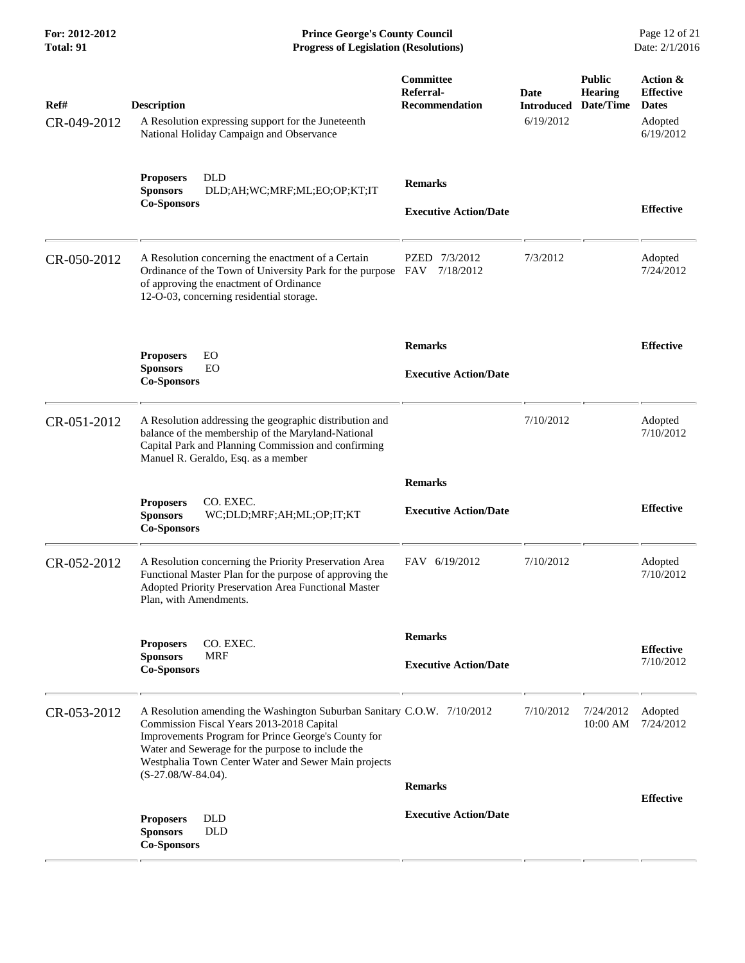| Ref#<br>CR-049-2012 | <b>Description</b><br>A Resolution expressing support for the Juneteenth<br>National Holiday Campaign and Observance                                                                                                                                                                     | Committee<br>Referral-<br><b>Recommendation</b> | Date<br><b>Introduced</b><br>6/19/2012 | <b>Public</b><br><b>Hearing</b><br>Date/Time | Action &<br><b>Effective</b><br><b>Dates</b><br>Adopted<br>6/19/2012 |
|---------------------|------------------------------------------------------------------------------------------------------------------------------------------------------------------------------------------------------------------------------------------------------------------------------------------|-------------------------------------------------|----------------------------------------|----------------------------------------------|----------------------------------------------------------------------|
|                     | <b>DLD</b><br><b>Proposers</b><br><b>Sponsors</b><br>DLD;AH;WC;MRF;ML;EO;OP;KT;IT<br><b>Co-Sponsors</b>                                                                                                                                                                                  | <b>Remarks</b><br><b>Executive Action/Date</b>  |                                        |                                              | <b>Effective</b>                                                     |
| CR-050-2012         | A Resolution concerning the enactment of a Certain<br>Ordinance of the Town of University Park for the purpose FAV<br>of approving the enactment of Ordinance<br>12-O-03, concerning residential storage.                                                                                | PZED 7/3/2012<br>7/18/2012                      | 7/3/2012                               |                                              | Adopted<br>7/24/2012                                                 |
|                     | <b>Proposers</b><br>EO<br><b>Sponsors</b><br>EO<br><b>Co-Sponsors</b>                                                                                                                                                                                                                    | <b>Remarks</b><br><b>Executive Action/Date</b>  |                                        |                                              | <b>Effective</b>                                                     |
| CR-051-2012         | A Resolution addressing the geographic distribution and<br>balance of the membership of the Maryland-National<br>Capital Park and Planning Commission and confirming<br>Manuel R. Geraldo, Esq. as a member                                                                              |                                                 | 7/10/2012                              |                                              | Adopted<br>7/10/2012                                                 |
|                     | CO. EXEC.<br><b>Proposers</b><br><b>Sponsors</b><br>WC;DLD;MRF;AH;ML;OP;IT;KT<br><b>Co-Sponsors</b>                                                                                                                                                                                      | <b>Remarks</b><br><b>Executive Action/Date</b>  |                                        |                                              | <b>Effective</b>                                                     |
| CR-052-2012         | A Resolution concerning the Priority Preservation Area<br>Functional Master Plan for the purpose of approving the<br>Adopted Priority Preservation Area Functional Master<br>Plan, with Amendments.                                                                                      | FAV 6/19/2012                                   | 7/10/2012                              |                                              | Adopted<br>7/10/2012                                                 |
|                     | CO. EXEC.<br><b>Proposers</b><br><b>Sponsors</b><br><b>MRF</b><br><b>Co-Sponsors</b>                                                                                                                                                                                                     | <b>Remarks</b><br><b>Executive Action/Date</b>  |                                        |                                              | <b>Effective</b><br>7/10/2012                                        |
| CR-053-2012         | A Resolution amending the Washington Suburban Sanitary C.O.W. 7/10/2012<br>Commission Fiscal Years 2013-2018 Capital<br>Improvements Program for Prince George's County for<br>Water and Sewerage for the purpose to include the<br>Westphalia Town Center Water and Sewer Main projects |                                                 | 7/10/2012                              | 7/24/2012<br>10:00 AM                        | Adopted<br>7/24/2012                                                 |
|                     | $(S-27.08/W-84.04)$ .<br><b>Proposers</b><br><b>DLD</b><br><b>Sponsors</b><br><b>DLD</b><br><b>Co-Sponsors</b>                                                                                                                                                                           | <b>Remarks</b><br><b>Executive Action/Date</b>  |                                        |                                              | <b>Effective</b>                                                     |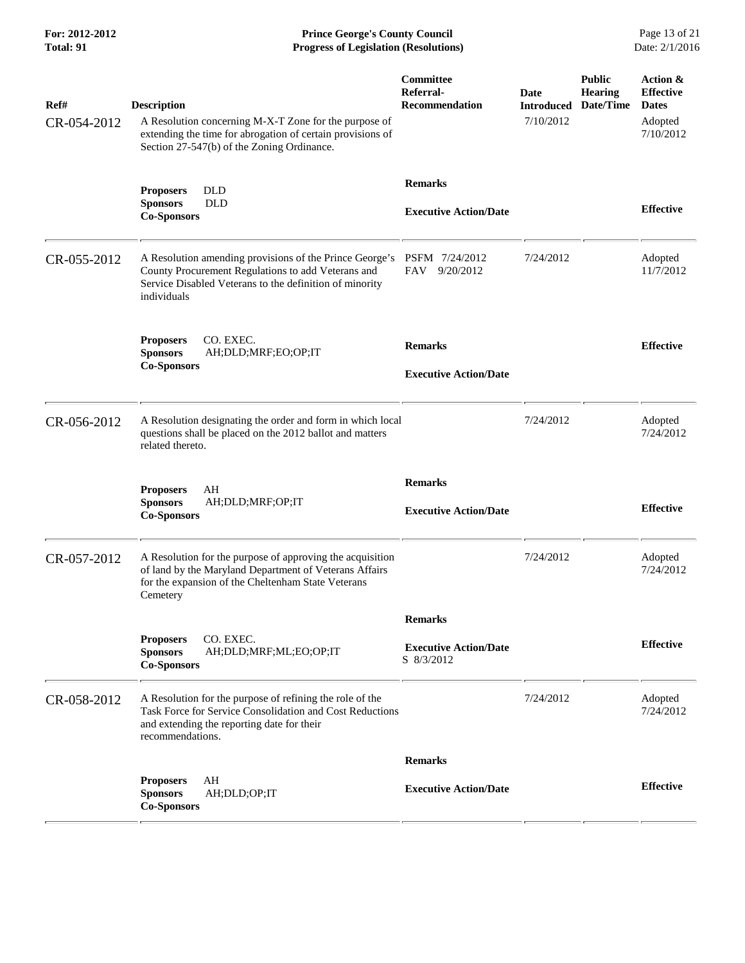**For: 2012-2012 Prince George's County Council** Page 13 of 21<br>**Prince George's County Council** Page 13 of 21<br>**Progress of Legislation (Resolutions)** Date: 2/1/2016 **Total: 91 Progress of Legislation (Resolutions)** 

| Ref#<br>CR-054-2012 | <b>Description</b><br>A Resolution concerning M-X-T Zone for the purpose of<br>extending the time for abrogation of certain provisions of<br>Section 27-547(b) of the Zoning Ordinance. | Committee<br>Referral-<br><b>Recommendation</b> | Date<br><b>Introduced</b><br>7/10/2012 | <b>Public</b><br><b>Hearing</b><br>Date/Time | Action &<br><b>Effective</b><br><b>Dates</b><br>Adopted<br>7/10/2012 |
|---------------------|-----------------------------------------------------------------------------------------------------------------------------------------------------------------------------------------|-------------------------------------------------|----------------------------------------|----------------------------------------------|----------------------------------------------------------------------|
|                     | <b>DLD</b><br><b>Proposers</b><br><b>DLD</b><br><b>Sponsors</b><br><b>Co-Sponsors</b>                                                                                                   | <b>Remarks</b><br><b>Executive Action/Date</b>  |                                        |                                              | <b>Effective</b>                                                     |
| CR-055-2012         | A Resolution amending provisions of the Prince George's<br>County Procurement Regulations to add Veterans and<br>Service Disabled Veterans to the definition of minority<br>individuals | PSFM 7/24/2012<br>FAV 9/20/2012                 | 7/24/2012                              |                                              | Adopted<br>11/7/2012                                                 |
|                     | <b>Proposers</b><br>CO. EXEC.<br><b>Sponsors</b><br>AH;DLD;MRF;EO;OP;IT<br><b>Co-Sponsors</b>                                                                                           | <b>Remarks</b><br><b>Executive Action/Date</b>  |                                        |                                              | <b>Effective</b>                                                     |
| CR-056-2012         | A Resolution designating the order and form in which local<br>questions shall be placed on the 2012 ballot and matters<br>related thereto.                                              |                                                 | 7/24/2012                              |                                              | Adopted<br>7/24/2012                                                 |
|                     | AH<br><b>Proposers</b><br><b>Sponsors</b><br>AH;DLD;MRF;OP;IT<br><b>Co-Sponsors</b>                                                                                                     | <b>Remarks</b><br><b>Executive Action/Date</b>  |                                        |                                              | <b>Effective</b>                                                     |
| CR-057-2012         | A Resolution for the purpose of approving the acquisition<br>of land by the Maryland Department of Veterans Affairs<br>for the expansion of the Cheltenham State Veterans<br>Cemetery   |                                                 | 7/24/2012                              |                                              | Adopted<br>7/24/2012                                                 |
|                     |                                                                                                                                                                                         | <b>Remarks</b>                                  |                                        |                                              |                                                                      |
|                     | <b>Proposers</b><br>CO. EXEC.<br>AH;DLD;MRF;ML;EO;OP;IT<br><b>Sponsors</b><br><b>Co-Sponsors</b>                                                                                        | <b>Executive Action/Date</b><br>S 8/3/2012      |                                        |                                              | <b>Effective</b>                                                     |
| CR-058-2012         | A Resolution for the purpose of refining the role of the<br>Task Force for Service Consolidation and Cost Reductions<br>and extending the reporting date for their<br>recommendations.  |                                                 | 7/24/2012                              |                                              | Adopted<br>7/24/2012                                                 |
|                     |                                                                                                                                                                                         | <b>Remarks</b>                                  |                                        |                                              |                                                                      |
|                     | AH<br><b>Proposers</b><br><b>Sponsors</b><br>AH;DLD;OP;IT<br><b>Co-Sponsors</b>                                                                                                         | <b>Executive Action/Date</b>                    |                                        |                                              | <b>Effective</b>                                                     |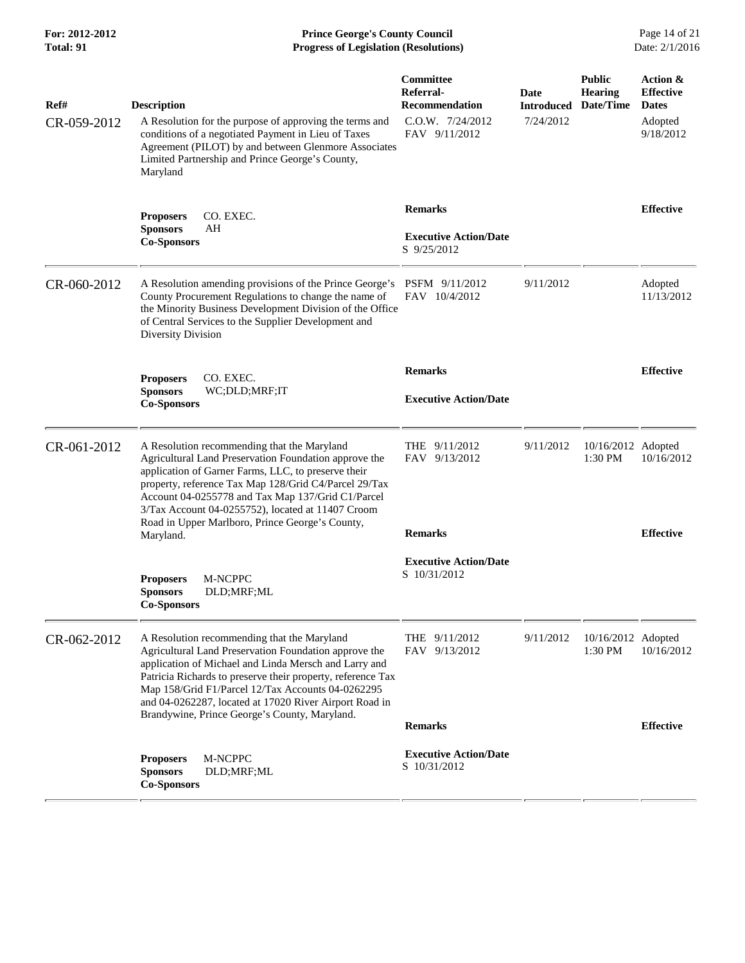**For: 2012-2012 Prince George's County Council** Page 14 of 21<br>**Progress of Legislation (Resolutions)** Date: 2/1/2016 **Total: 91 Progress of Legislation (Resolutions)** 

| Ref#        | <b>Description</b>                                                                                                                                                                                                                                                                                                                                                                           | Committee<br>Referral-<br><b>Recommendation</b>               | Date<br><b>Introduced</b> | <b>Public</b><br><b>Hearing</b><br>Date/Time | Action &<br><b>Effective</b><br><b>Dates</b> |
|-------------|----------------------------------------------------------------------------------------------------------------------------------------------------------------------------------------------------------------------------------------------------------------------------------------------------------------------------------------------------------------------------------------------|---------------------------------------------------------------|---------------------------|----------------------------------------------|----------------------------------------------|
| CR-059-2012 | A Resolution for the purpose of approving the terms and<br>conditions of a negotiated Payment in Lieu of Taxes<br>Agreement (PILOT) by and between Glenmore Associates<br>Limited Partnership and Prince George's County,<br>Maryland                                                                                                                                                        | C.O.W. 7/24/2012<br>FAV 9/11/2012                             | 7/24/2012                 |                                              | Adopted<br>9/18/2012                         |
|             | <b>Proposers</b><br>CO. EXEC.<br><b>Sponsors</b><br>AH<br><b>Co-Sponsors</b>                                                                                                                                                                                                                                                                                                                 | <b>Remarks</b><br><b>Executive Action/Date</b><br>S 9/25/2012 |                           |                                              | <b>Effective</b>                             |
| CR-060-2012 | A Resolution amending provisions of the Prince George's PSFM 9/11/2012<br>County Procurement Regulations to change the name of<br>the Minority Business Development Division of the Office<br>of Central Services to the Supplier Development and<br>Diversity Division                                                                                                                      | FAV 10/4/2012                                                 | 9/11/2012                 |                                              | Adopted<br>11/13/2012                        |
|             | CO. EXEC.<br><b>Proposers</b><br><b>Sponsors</b><br>WC;DLD;MRF;IT                                                                                                                                                                                                                                                                                                                            | <b>Remarks</b><br><b>Executive Action/Date</b>                |                           |                                              | <b>Effective</b>                             |
|             | <b>Co-Sponsors</b>                                                                                                                                                                                                                                                                                                                                                                           |                                                               |                           |                                              |                                              |
| CR-061-2012 | A Resolution recommending that the Maryland<br>Agricultural Land Preservation Foundation approve the<br>application of Garner Farms, LLC, to preserve their<br>property, reference Tax Map 128/Grid C4/Parcel 29/Tax<br>Account 04-0255778 and Tax Map 137/Grid C1/Parcel<br>3/Tax Account 04-0255752), located at 11407 Croom                                                               | THE 9/11/2012<br>FAV 9/13/2012                                | 9/11/2012                 | 10/16/2012 Adopted<br>1:30 PM                | 10/16/2012                                   |
|             | Road in Upper Marlboro, Prince George's County,<br>Maryland.                                                                                                                                                                                                                                                                                                                                 | <b>Remarks</b>                                                |                           |                                              | <b>Effective</b>                             |
|             | M-NCPPC<br><b>Proposers</b><br><b>Sponsors</b><br>DLD;MRF;ML<br><b>Co-Sponsors</b>                                                                                                                                                                                                                                                                                                           | <b>Executive Action/Date</b><br>S 10/31/2012                  |                           |                                              |                                              |
| CR-062-2012 | A Resolution recommending that the Maryland<br>Agricultural Land Preservation Foundation approve the<br>application of Michael and Linda Mersch and Larry and<br>Patricia Richards to preserve their property, reference Tax<br>Map 158/Grid F1/Parcel 12/Tax Accounts 04-0262295<br>and 04-0262287, located at 17020 River Airport Road in<br>Brandywine, Prince George's County, Maryland. | THE $9/11/2012$<br>9/13/2012<br>FAV                           | 9/11/2012                 | 10/16/2012 Adopted<br>1:30 PM                | 10/16/2012                                   |
|             |                                                                                                                                                                                                                                                                                                                                                                                              | <b>Remarks</b>                                                |                           |                                              | <b>Effective</b>                             |
|             | M-NCPPC<br><b>Proposers</b><br><b>Sponsors</b><br>DLD;MRF;ML<br><b>Co-Sponsors</b>                                                                                                                                                                                                                                                                                                           | <b>Executive Action/Date</b><br>S 10/31/2012                  |                           |                                              |                                              |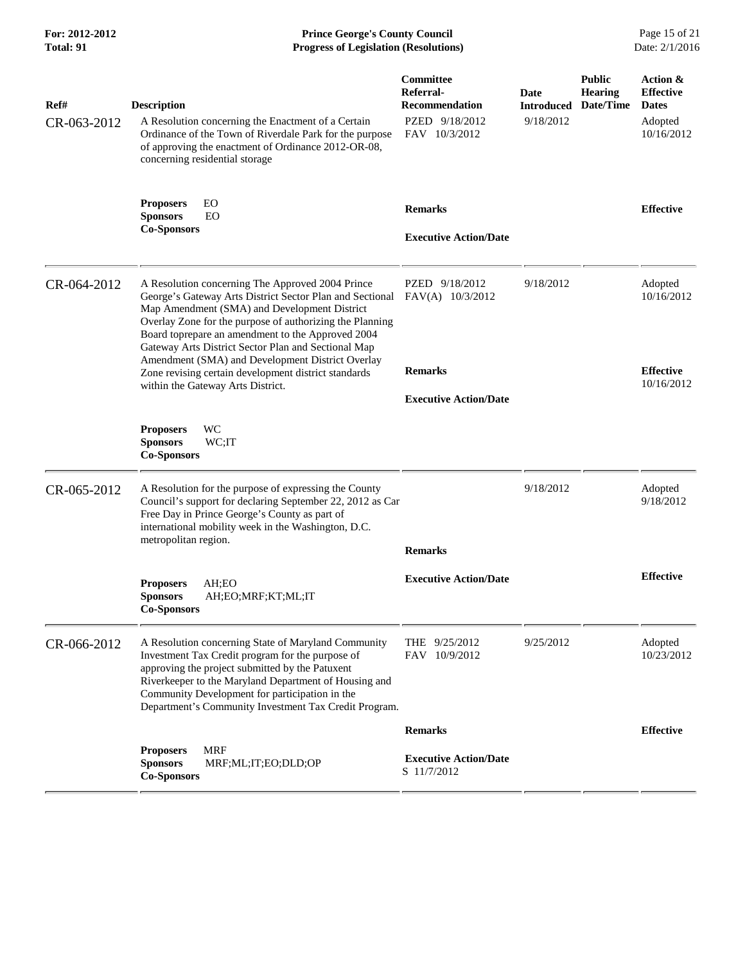**For: 2012-2012 Prince George's County Council** Page 15 of 21<br>**Progress of Legislation (Resolutions)** Date: 2/1/2016 **Total: 91 Progress of Legislation (Resolutions)** 

| Ref#<br>CR-063-2012 | <b>Description</b><br>A Resolution concerning the Enactment of a Certain<br>Ordinance of the Town of Riverdale Park for the purpose<br>of approving the enactment of Ordinance 2012-OR-08,<br>concerning residential storage                                                                                                                                                                                                                                                          | Committee<br>Referral-<br><b>Recommendation</b><br>PZED 9/18/2012<br>FAV 10/3/2012     | <b>Date</b><br><b>Introduced</b><br>9/18/2012 | <b>Public</b><br><b>Hearing</b><br>Date/Time | Action &<br><b>Effective</b><br><b>Dates</b><br>Adopted<br>10/16/2012 |
|---------------------|---------------------------------------------------------------------------------------------------------------------------------------------------------------------------------------------------------------------------------------------------------------------------------------------------------------------------------------------------------------------------------------------------------------------------------------------------------------------------------------|----------------------------------------------------------------------------------------|-----------------------------------------------|----------------------------------------------|-----------------------------------------------------------------------|
|                     | EO<br><b>Proposers</b><br><b>Sponsors</b><br>EO<br><b>Co-Sponsors</b>                                                                                                                                                                                                                                                                                                                                                                                                                 | <b>Remarks</b><br><b>Executive Action/Date</b>                                         |                                               |                                              | <b>Effective</b>                                                      |
| CR-064-2012         | A Resolution concerning The Approved 2004 Prince<br>George's Gateway Arts District Sector Plan and Sectional<br>Map Amendment (SMA) and Development District<br>Overlay Zone for the purpose of authorizing the Planning<br>Board toprepare an amendment to the Approved 2004<br>Gateway Arts District Sector Plan and Sectional Map<br>Amendment (SMA) and Development District Overlay<br>Zone revising certain development district standards<br>within the Gateway Arts District. | PZED 9/18/2012<br>$FAV(A)$ 10/3/2012<br><b>Remarks</b><br><b>Executive Action/Date</b> | 9/18/2012                                     |                                              | Adopted<br>10/16/2012<br><b>Effective</b><br>10/16/2012               |
|                     | WC<br><b>Proposers</b><br><b>Sponsors</b><br>WC;IT<br><b>Co-Sponsors</b>                                                                                                                                                                                                                                                                                                                                                                                                              |                                                                                        |                                               |                                              |                                                                       |
| CR-065-2012         | A Resolution for the purpose of expressing the County<br>Council's support for declaring September 22, 2012 as Car<br>Free Day in Prince George's County as part of<br>international mobility week in the Washington, D.C.<br>metropolitan region.                                                                                                                                                                                                                                    | <b>Remarks</b>                                                                         | 9/18/2012                                     |                                              | Adopted<br>9/18/2012                                                  |
|                     | AH;EO<br><b>Proposers</b><br><b>Sponsors</b><br>AH;EO;MRF;KT;ML;IT<br><b>Co-Sponsors</b>                                                                                                                                                                                                                                                                                                                                                                                              | <b>Executive Action/Date</b>                                                           |                                               |                                              | <b>Effective</b>                                                      |
| CR-066-2012         | A Resolution concerning State of Maryland Community<br>Investment Tax Credit program for the purpose of<br>approving the project submitted by the Patuxent<br>Riverkeeper to the Maryland Department of Housing and<br>Community Development for participation in the<br>Department's Community Investment Tax Credit Program.                                                                                                                                                        | THE 9/25/2012<br>FAV 10/9/2012                                                         | 9/25/2012                                     |                                              | Adopted<br>10/23/2012                                                 |
|                     |                                                                                                                                                                                                                                                                                                                                                                                                                                                                                       | <b>Remarks</b>                                                                         |                                               |                                              | <b>Effective</b>                                                      |
|                     | <b>MRF</b><br><b>Proposers</b><br><b>Sponsors</b><br>MRF;ML;IT;EO;DLD;OP<br><b>Co-Sponsors</b>                                                                                                                                                                                                                                                                                                                                                                                        | <b>Executive Action/Date</b><br>S 11/7/2012                                            |                                               |                                              |                                                                       |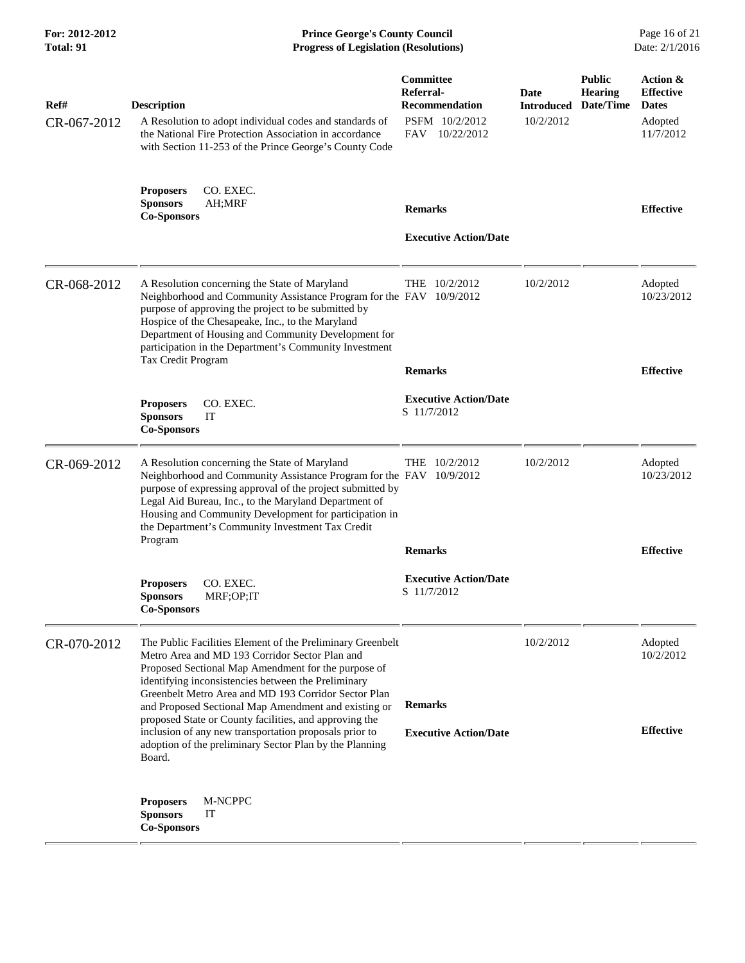| For: 2012-2012<br>Total: 91 |                                                                                                                                                                                                                                                                                                                                                                        | <b>Prince George's County Council</b><br><b>Progress of Legislation (Resolutions)</b> |                                        |                                              | Page 16 of 21<br>Date: 2/1/2016                                      |
|-----------------------------|------------------------------------------------------------------------------------------------------------------------------------------------------------------------------------------------------------------------------------------------------------------------------------------------------------------------------------------------------------------------|---------------------------------------------------------------------------------------|----------------------------------------|----------------------------------------------|----------------------------------------------------------------------|
| Ref#<br>CR-067-2012         | <b>Description</b><br>A Resolution to adopt individual codes and standards of<br>the National Fire Protection Association in accordance<br>with Section 11-253 of the Prince George's County Code                                                                                                                                                                      | Committee<br>Referral-<br>Recommendation<br>PSFM 10/2/2012<br>FAV 10/22/2012          | Date<br><b>Introduced</b><br>10/2/2012 | <b>Public</b><br><b>Hearing</b><br>Date/Time | Action &<br><b>Effective</b><br><b>Dates</b><br>Adopted<br>11/7/2012 |
|                             | CO. EXEC.<br><b>Proposers</b><br><b>Sponsors</b><br>AH;MRF<br><b>Co-Sponsors</b>                                                                                                                                                                                                                                                                                       | <b>Remarks</b><br><b>Executive Action/Date</b>                                        |                                        |                                              | <b>Effective</b>                                                     |
| CR-068-2012                 | A Resolution concerning the State of Maryland<br>Neighborhood and Community Assistance Program for the FAV 10/9/2012<br>purpose of approving the project to be submitted by<br>Hospice of the Chesapeake, Inc., to the Maryland<br>Department of Housing and Community Development for<br>participation in the Department's Community Investment<br>Tax Credit Program | THE 10/2/2012<br><b>Remarks</b>                                                       | 10/2/2012                              |                                              | Adopted<br>10/23/2012<br><b>Effective</b>                            |
|                             | CO. EXEC.<br><b>Proposers</b><br><b>Sponsors</b><br>IT<br><b>Co-Sponsors</b>                                                                                                                                                                                                                                                                                           | <b>Executive Action/Date</b><br>S 11/7/2012                                           |                                        |                                              |                                                                      |
| CR-069-2012                 | A Resolution concerning the State of Maryland<br>Neighborhood and Community Assistance Program for the FAV 10/9/2012<br>purpose of expressing approval of the project submitted by<br>Legal Aid Bureau, Inc., to the Maryland Department of<br>Housing and Community Development for participation in<br>the Department's Community Investment Tax Credit<br>Program   | THE 10/2/2012                                                                         | 10/2/2012                              |                                              | Adopted<br>10/23/2012                                                |
|                             |                                                                                                                                                                                                                                                                                                                                                                        | <b>Remarks</b>                                                                        |                                        |                                              | <b>Effective</b>                                                     |
|                             | CO. EXEC.<br><b>Proposers</b><br><b>Sponsors</b><br>MRF;OP;IT<br><b>Co-Sponsors</b>                                                                                                                                                                                                                                                                                    | <b>Executive Action/Date</b><br>S 11/7/2012                                           |                                        |                                              |                                                                      |
| CR-070-2012                 | The Public Facilities Element of the Preliminary Greenbelt<br>Metro Area and MD 193 Corridor Sector Plan and<br>Proposed Sectional Map Amendment for the purpose of<br>identifying inconsistencies between the Preliminary<br>Greenbelt Metro Area and MD 193 Corridor Sector Plan<br>and Proposed Sectional Map Amendment and existing or                             | <b>Remarks</b>                                                                        | 10/2/2012                              |                                              | Adopted<br>10/2/2012                                                 |
|                             | proposed State or County facilities, and approving the<br>inclusion of any new transportation proposals prior to<br>adoption of the preliminary Sector Plan by the Planning<br>Board.                                                                                                                                                                                  | <b>Executive Action/Date</b>                                                          |                                        |                                              | <b>Effective</b>                                                     |
|                             | M-NCPPC<br><b>Proposers</b><br><b>Sponsors</b><br>IT<br><b>Co-Sponsors</b>                                                                                                                                                                                                                                                                                             |                                                                                       |                                        |                                              |                                                                      |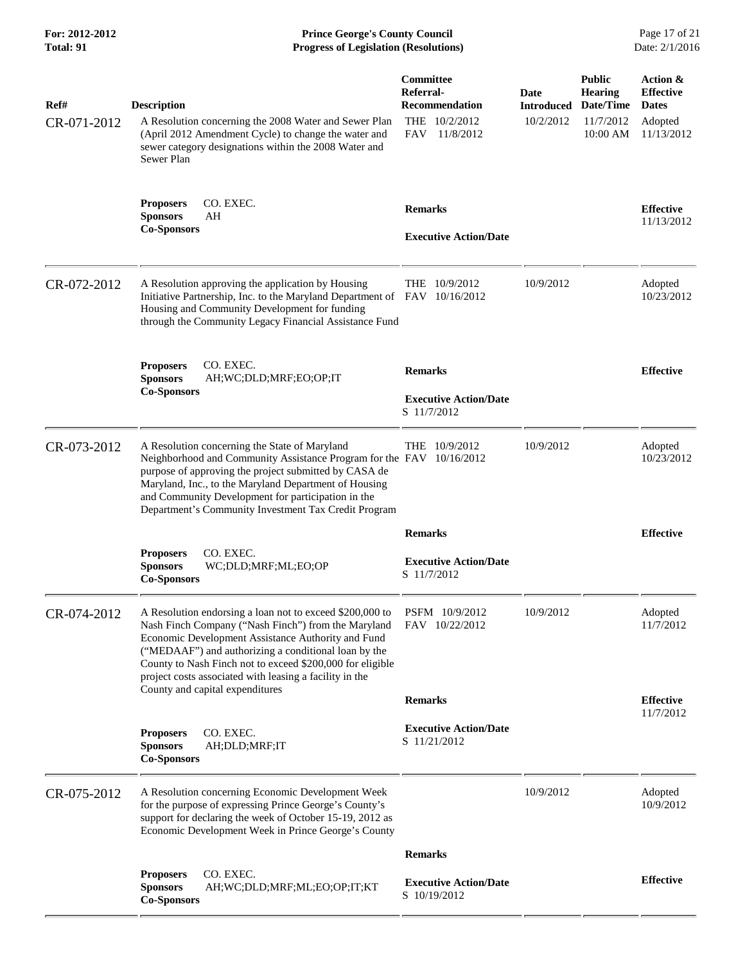| For: 2012-2012<br>Total: 91 | <b>Prince George's County Council</b><br><b>Progress of Legislation (Resolutions)</b>                                                                                                                                                                                                                                                                 |                                                                                               |                                        |                                                                       | Page 17 of 21<br>Date: 2/1/2016                                       |  |
|-----------------------------|-------------------------------------------------------------------------------------------------------------------------------------------------------------------------------------------------------------------------------------------------------------------------------------------------------------------------------------------------------|-----------------------------------------------------------------------------------------------|----------------------------------------|-----------------------------------------------------------------------|-----------------------------------------------------------------------|--|
| Ref#<br>CR-071-2012         | <b>Description</b><br>A Resolution concerning the 2008 Water and Sewer Plan<br>(April 2012 Amendment Cycle) to change the water and<br>sewer category designations within the 2008 Water and<br>Sewer Plan                                                                                                                                            | <b>Committee</b><br>Referral-<br><b>Recommendation</b><br>THE $10/2/2012$<br>FAV<br>11/8/2012 | Date<br><b>Introduced</b><br>10/2/2012 | <b>Public</b><br><b>Hearing</b><br>Date/Time<br>11/7/2012<br>10:00 AM | Action &<br><b>Effective</b><br><b>Dates</b><br>Adopted<br>11/13/2012 |  |
|                             | CO. EXEC.<br><b>Proposers</b><br><b>Sponsors</b><br>AH<br><b>Co-Sponsors</b>                                                                                                                                                                                                                                                                          | <b>Remarks</b><br><b>Executive Action/Date</b>                                                |                                        |                                                                       | <b>Effective</b><br>11/13/2012                                        |  |
| CR-072-2012                 | A Resolution approving the application by Housing<br>Initiative Partnership, Inc. to the Maryland Department of FAV 10/16/2012<br>Housing and Community Development for funding<br>through the Community Legacy Financial Assistance Fund                                                                                                             | THE 10/9/2012                                                                                 | 10/9/2012                              |                                                                       | Adopted<br>10/23/2012                                                 |  |
|                             | CO. EXEC.<br><b>Proposers</b><br><b>Sponsors</b><br>AH;WC;DLD;MRF;EO;OP;IT<br><b>Co-Sponsors</b>                                                                                                                                                                                                                                                      | <b>Remarks</b><br><b>Executive Action/Date</b><br>S 11/7/2012                                 |                                        |                                                                       | <b>Effective</b>                                                      |  |
| CR-073-2012                 | A Resolution concerning the State of Maryland<br>Neighborhood and Community Assistance Program for the FAV 10/16/2012<br>purpose of approving the project submitted by CASA de<br>Maryland, Inc., to the Maryland Department of Housing<br>and Community Development for participation in the<br>Department's Community Investment Tax Credit Program | THE 10/9/2012                                                                                 | 10/9/2012                              |                                                                       | Adopted<br>10/23/2012                                                 |  |
|                             | CO. EXEC.<br><b>Proposers</b><br>WC:DLD:MRF:ML:EO:OP<br><b>Sponsors</b><br><b>Co-Sponsors</b>                                                                                                                                                                                                                                                         | <b>Remarks</b><br><b>Executive Action/Date</b><br>S 11/7/2012                                 |                                        |                                                                       | <b>Effective</b>                                                      |  |
| CR-074-2012                 | A Resolution endorsing a loan not to exceed \$200,000 to<br>Nash Finch Company ("Nash Finch") from the Maryland<br>Economic Development Assistance Authority and Fund<br>("MEDAAF") and authorizing a conditional loan by the<br>County to Nash Finch not to exceed \$200,000 for eligible<br>project costs associated with leasing a facility in the | PSFM 10/9/2012<br>FAV 10/22/2012                                                              | 10/9/2012                              |                                                                       | Adopted<br>11/7/2012                                                  |  |
|                             | County and capital expenditures                                                                                                                                                                                                                                                                                                                       | <b>Remarks</b>                                                                                |                                        |                                                                       | <b>Effective</b>                                                      |  |
|                             | CO. EXEC.<br><b>Proposers</b><br><b>Sponsors</b><br>AH;DLD;MRF;IT<br><b>Co-Sponsors</b>                                                                                                                                                                                                                                                               | <b>Executive Action/Date</b><br>S 11/21/2012                                                  |                                        |                                                                       | 11/7/2012                                                             |  |
| CR-075-2012                 | A Resolution concerning Economic Development Week<br>for the purpose of expressing Prince George's County's<br>support for declaring the week of October 15-19, 2012 as<br>Economic Development Week in Prince George's County                                                                                                                        |                                                                                               | 10/9/2012                              |                                                                       | Adopted<br>10/9/2012                                                  |  |
|                             |                                                                                                                                                                                                                                                                                                                                                       | <b>Remarks</b>                                                                                |                                        |                                                                       |                                                                       |  |
|                             | CO. EXEC.<br><b>Proposers</b><br><b>Sponsors</b><br>AH;WC;DLD;MRF;ML;EO;OP;IT;KT<br><b>Co-Sponsors</b>                                                                                                                                                                                                                                                | <b>Executive Action/Date</b><br>S 10/19/2012                                                  |                                        |                                                                       | <b>Effective</b>                                                      |  |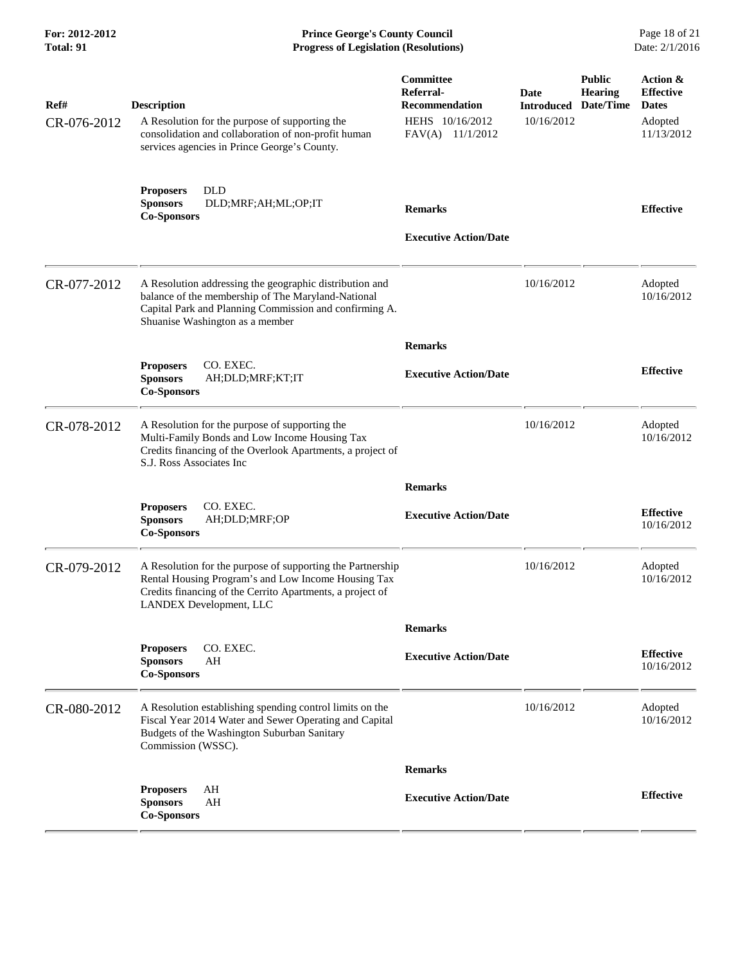| For: 2012-2012<br>Total: 91 |                                                                                                                                                                                                            | <b>Prince George's County Council</b><br>Date: 2/1/2016<br><b>Progress of Legislation (Resolutions)</b> |                                         |                                              |                                                                       |  |
|-----------------------------|------------------------------------------------------------------------------------------------------------------------------------------------------------------------------------------------------------|---------------------------------------------------------------------------------------------------------|-----------------------------------------|----------------------------------------------|-----------------------------------------------------------------------|--|
| Ref#<br>CR-076-2012         | <b>Description</b><br>A Resolution for the purpose of supporting the<br>consolidation and collaboration of non-profit human<br>services agencies in Prince George's County.                                | Committee<br>Referral-<br><b>Recommendation</b><br>HEHS 10/16/2012<br>FAV(A) 11/1/2012                  | Date<br><b>Introduced</b><br>10/16/2012 | <b>Public</b><br><b>Hearing</b><br>Date/Time | Action &<br><b>Effective</b><br><b>Dates</b><br>Adopted<br>11/13/2012 |  |
|                             | <b>DLD</b><br><b>Proposers</b><br><b>Sponsors</b><br>DLD;MRF;AH;ML;OP;IT<br><b>Co-Sponsors</b>                                                                                                             | <b>Remarks</b><br><b>Executive Action/Date</b>                                                          |                                         |                                              | <b>Effective</b>                                                      |  |
| CR-077-2012                 | A Resolution addressing the geographic distribution and<br>balance of the membership of The Maryland-National<br>Capital Park and Planning Commission and confirming A.<br>Shuanise Washington as a member |                                                                                                         | 10/16/2012                              |                                              | Adopted<br>10/16/2012                                                 |  |
|                             |                                                                                                                                                                                                            | <b>Remarks</b>                                                                                          |                                         |                                              |                                                                       |  |
|                             | CO. EXEC.<br><b>Proposers</b><br><b>Sponsors</b><br>AH;DLD;MRF;KT;IT<br><b>Co-Sponsors</b>                                                                                                                 | <b>Executive Action/Date</b>                                                                            |                                         |                                              | <b>Effective</b>                                                      |  |
| CR-078-2012                 | A Resolution for the purpose of supporting the<br>Multi-Family Bonds and Low Income Housing Tax<br>Credits financing of the Overlook Apartments, a project of<br>S.J. Ross Associates Inc                  |                                                                                                         | 10/16/2012                              |                                              | Adopted<br>10/16/2012                                                 |  |
|                             |                                                                                                                                                                                                            | <b>Remarks</b>                                                                                          |                                         |                                              |                                                                       |  |
|                             | CO. EXEC.<br><b>Proposers</b><br><b>Sponsors</b><br>AH;DLD;MRF;OP<br><b>Co-Sponsors</b>                                                                                                                    | <b>Executive Action/Date</b>                                                                            |                                         |                                              | <b>Effective</b><br>10/16/2012                                        |  |
| CR-079-2012                 | A Resolution for the purpose of supporting the Partnership<br>Rental Housing Program's and Low Income Housing Tax<br>Credits financing of the Cerrito Apartments, a project of<br>LANDEX Development, LLC  |                                                                                                         | 10/16/2012                              |                                              | Adopted<br>10/16/2012                                                 |  |
|                             |                                                                                                                                                                                                            | <b>Remarks</b>                                                                                          |                                         |                                              |                                                                       |  |
|                             | CO. EXEC.<br><b>Proposers</b><br><b>Sponsors</b><br>AH<br><b>Co-Sponsors</b>                                                                                                                               | <b>Executive Action/Date</b>                                                                            |                                         |                                              | <b>Effective</b><br>10/16/2012                                        |  |
| CR-080-2012                 | A Resolution establishing spending control limits on the<br>Fiscal Year 2014 Water and Sewer Operating and Capital<br>Budgets of the Washington Suburban Sanitary<br>Commission (WSSC).                    |                                                                                                         | 10/16/2012                              |                                              | Adopted<br>10/16/2012                                                 |  |
|                             |                                                                                                                                                                                                            | <b>Remarks</b>                                                                                          |                                         |                                              |                                                                       |  |
|                             | <b>Proposers</b><br>AH<br>AH<br><b>Sponsors</b><br><b>Co-Sponsors</b>                                                                                                                                      | <b>Executive Action/Date</b>                                                                            |                                         |                                              | <b>Effective</b>                                                      |  |
|                             |                                                                                                                                                                                                            |                                                                                                         |                                         |                                              |                                                                       |  |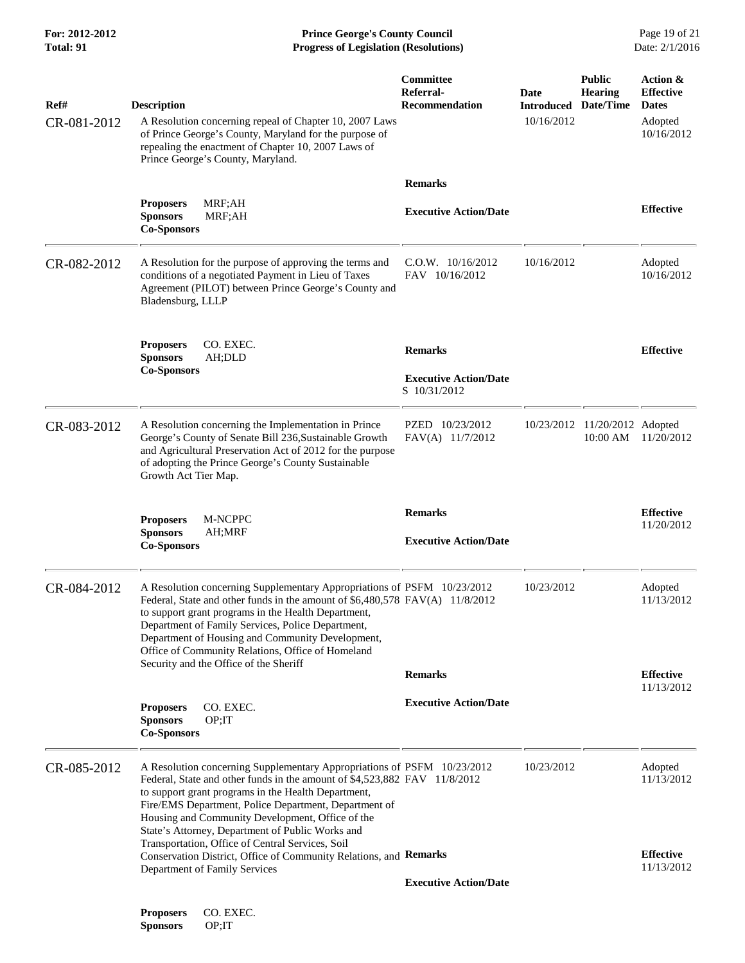**For: 2012-2012 Prince George's County Council** Page 19 of 21<br> **Prince George's County Council** Page 19 of 21<br> **Progress of Legislation (Resolutions)** Date: 2/1/2016 **Progress of Legislation (Resolutions)** 

| Ref#<br>CR-081-2012 | <b>Description</b><br>A Resolution concerning repeal of Chapter 10, 2007 Laws<br>of Prince George's County, Maryland for the purpose of<br>repealing the enactment of Chapter 10, 2007 Laws of<br>Prince George's County, Maryland.                                                                                                                                                                                              | Committee<br>Referral-<br>Recommendation       | Date<br><b>Introduced</b><br>10/16/2012 | <b>Public</b><br><b>Hearing</b><br>Date/Time | Action &<br><b>Effective</b><br><b>Dates</b><br>Adopted<br>10/16/2012 |
|---------------------|----------------------------------------------------------------------------------------------------------------------------------------------------------------------------------------------------------------------------------------------------------------------------------------------------------------------------------------------------------------------------------------------------------------------------------|------------------------------------------------|-----------------------------------------|----------------------------------------------|-----------------------------------------------------------------------|
|                     |                                                                                                                                                                                                                                                                                                                                                                                                                                  | <b>Remarks</b>                                 |                                         |                                              |                                                                       |
|                     | MRF;AH<br><b>Proposers</b><br><b>Sponsors</b><br>MRF;AH<br><b>Co-Sponsors</b>                                                                                                                                                                                                                                                                                                                                                    | <b>Executive Action/Date</b>                   |                                         |                                              | <b>Effective</b>                                                      |
| CR-082-2012         | A Resolution for the purpose of approving the terms and<br>conditions of a negotiated Payment in Lieu of Taxes<br>Agreement (PILOT) between Prince George's County and<br>Bladensburg, LLLP                                                                                                                                                                                                                                      | $C.0.W.$ 10/16/2012<br>FAV 10/16/2012          | 10/16/2012                              |                                              | Adopted<br>10/16/2012                                                 |
|                     | CO. EXEC.<br><b>Proposers</b><br><b>Sponsors</b><br>AH;DLD                                                                                                                                                                                                                                                                                                                                                                       | <b>Remarks</b>                                 |                                         |                                              | <b>Effective</b>                                                      |
|                     | <b>Co-Sponsors</b>                                                                                                                                                                                                                                                                                                                                                                                                               | <b>Executive Action/Date</b><br>S 10/31/2012   |                                         |                                              |                                                                       |
| CR-083-2012         | A Resolution concerning the Implementation in Prince<br>George's County of Senate Bill 236, Sustainable Growth<br>and Agricultural Preservation Act of 2012 for the purpose<br>of adopting the Prince George's County Sustainable<br>Growth Act Tier Map.                                                                                                                                                                        | PZED 10/23/2012<br>FAV(A) 11/7/2012            |                                         | 10/23/2012 11/20/2012 Adopted<br>$10:00$ AM  | 11/20/2012                                                            |
|                     | <b>Proposers</b><br>M-NCPPC<br><b>Sponsors</b><br>AH;MRF<br><b>Co-Sponsors</b>                                                                                                                                                                                                                                                                                                                                                   | <b>Remarks</b><br><b>Executive Action/Date</b> |                                         |                                              | <b>Effective</b><br>11/20/2012                                        |
| CR-084-2012         | A Resolution concerning Supplementary Appropriations of PSFM 10/23/2012<br>Federal, State and other funds in the amount of \$6,480,578 FAV(A) 11/8/2012<br>to support grant programs in the Health Department,<br>Department of Family Services, Police Department,<br>Department of Housing and Community Development,<br>Office of Community Relations, Office of Homeland                                                     |                                                | 10/23/2012                              |                                              | Adopted<br>11/13/2012                                                 |
|                     | Security and the Office of the Sheriff                                                                                                                                                                                                                                                                                                                                                                                           | <b>Remarks</b>                                 |                                         |                                              | <b>Effective</b>                                                      |
|                     | CO. EXEC.<br><b>Proposers</b><br>OP;IT<br><b>Sponsors</b><br><b>Co-Sponsors</b>                                                                                                                                                                                                                                                                                                                                                  | <b>Executive Action/Date</b>                   |                                         |                                              | 11/13/2012                                                            |
| CR-085-2012         | A Resolution concerning Supplementary Appropriations of PSFM 10/23/2012<br>Federal, State and other funds in the amount of \$4,523,882 FAV 11/8/2012<br>to support grant programs in the Health Department,<br>Fire/EMS Department, Police Department, Department of<br>Housing and Community Development, Office of the<br>State's Attorney, Department of Public Works and<br>Transportation, Office of Central Services, Soil |                                                | 10/23/2012                              |                                              | Adopted<br>11/13/2012                                                 |
|                     | Conservation District, Office of Community Relations, and Remarks<br>Department of Family Services                                                                                                                                                                                                                                                                                                                               |                                                |                                         |                                              | <b>Effective</b><br>11/13/2012                                        |
|                     |                                                                                                                                                                                                                                                                                                                                                                                                                                  | <b>Executive Action/Date</b>                   |                                         |                                              |                                                                       |
|                     |                                                                                                                                                                                                                                                                                                                                                                                                                                  |                                                |                                         |                                              |                                                                       |

**Proposers CO. EXEC.<br>Sponsors OP;IT**  $S**p**onsors$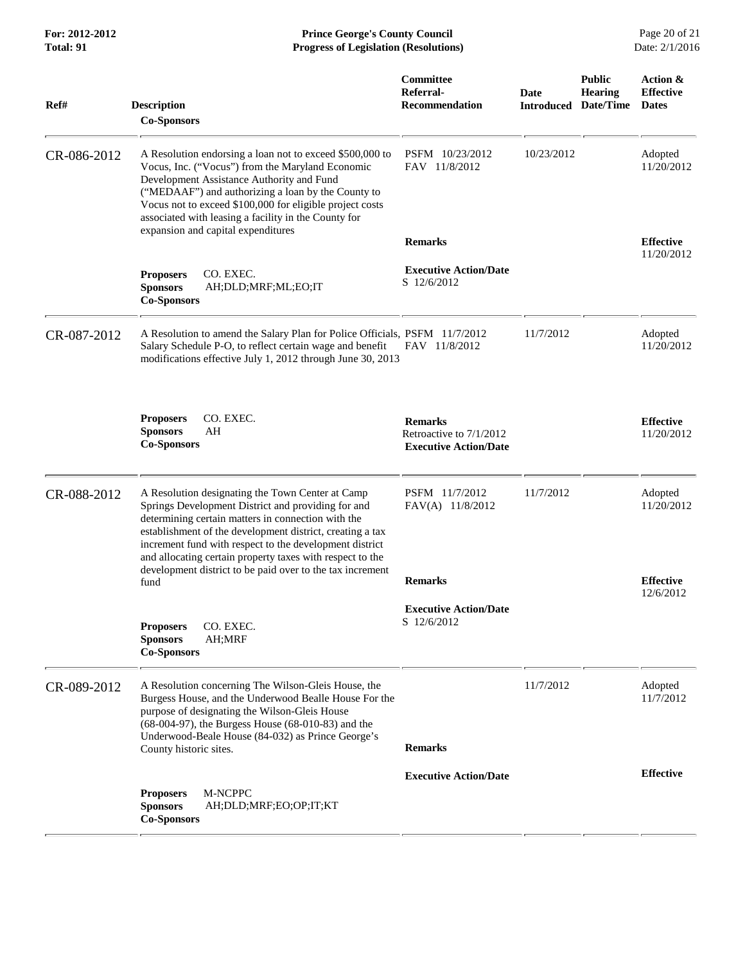|             | rogress or <i>E</i> cquition (resolutions)                                                                                                                                                                                                                                                                                                                                                                             |                                                                           |                           |                                              |                                              |
|-------------|------------------------------------------------------------------------------------------------------------------------------------------------------------------------------------------------------------------------------------------------------------------------------------------------------------------------------------------------------------------------------------------------------------------------|---------------------------------------------------------------------------|---------------------------|----------------------------------------------|----------------------------------------------|
| Ref#        | <b>Description</b><br><b>Co-Sponsors</b>                                                                                                                                                                                                                                                                                                                                                                               | Committee<br>Referral-<br><b>Recommendation</b>                           | Date<br><b>Introduced</b> | <b>Public</b><br><b>Hearing</b><br>Date/Time | Action &<br><b>Effective</b><br><b>Dates</b> |
| CR-086-2012 | A Resolution endorsing a loan not to exceed \$500,000 to<br>Vocus, Inc. ("Vocus") from the Maryland Economic<br>Development Assistance Authority and Fund<br>("MEDAAF") and authorizing a loan by the County to<br>Vocus not to exceed \$100,000 for eligible project costs<br>associated with leasing a facility in the County for                                                                                    | PSFM 10/23/2012<br>FAV 11/8/2012                                          | 10/23/2012                |                                              | Adopted<br>11/20/2012                        |
|             | expansion and capital expenditures                                                                                                                                                                                                                                                                                                                                                                                     | <b>Remarks</b>                                                            |                           |                                              | <b>Effective</b>                             |
|             | CO. EXEC.<br><b>Proposers</b><br><b>Sponsors</b><br>AH;DLD;MRF;ML;EO;IT<br><b>Co-Sponsors</b>                                                                                                                                                                                                                                                                                                                          | <b>Executive Action/Date</b><br>S 12/6/2012                               |                           |                                              | 11/20/2012                                   |
| CR-087-2012 | A Resolution to amend the Salary Plan for Police Officials, PSFM 11/7/2012<br>Salary Schedule P-O, to reflect certain wage and benefit<br>modifications effective July 1, 2012 through June 30, 2013                                                                                                                                                                                                                   | FAV 11/8/2012                                                             | 11/7/2012                 |                                              | Adopted<br>11/20/2012                        |
|             | CO. EXEC.<br><b>Proposers</b><br><b>Sponsors</b><br>AH<br><b>Co-Sponsors</b>                                                                                                                                                                                                                                                                                                                                           | <b>Remarks</b><br>Retroactive to 7/1/2012<br><b>Executive Action/Date</b> |                           |                                              | <b>Effective</b><br>11/20/2012               |
| CR-088-2012 | A Resolution designating the Town Center at Camp<br>Springs Development District and providing for and<br>determining certain matters in connection with the<br>establishment of the development district, creating a tax<br>increment fund with respect to the development district<br>and allocating certain property taxes with respect to the<br>development district to be paid over to the tax increment<br>fund | PSFM 11/7/2012<br>FAV(A) 11/8/2012<br><b>Remarks</b>                      | 11/7/2012                 |                                              | Adopted<br>11/20/2012<br><b>Effective</b>    |
|             | CO. EXEC.<br><b>Proposers</b><br><b>Sponsors</b><br>AH;MRF<br><b>Co-Sponsors</b>                                                                                                                                                                                                                                                                                                                                       | <b>Executive Action/Date</b><br>S 12/6/2012                               |                           |                                              | 12/6/2012                                    |
| CR-089-2012 | A Resolution concerning The Wilson-Gleis House, the<br>Burgess House, and the Underwood Bealle House For the<br>purpose of designating the Wilson-Gleis House<br>$(68-004-97)$ , the Burgess House $(68-010-83)$ and the<br>Underwood-Beale House (84-032) as Prince George's<br>County historic sites.                                                                                                                | <b>Remarks</b>                                                            | 11/7/2012                 |                                              | Adopted<br>11/7/2012                         |
|             | M-NCPPC<br><b>Proposers</b><br>AH;DLD;MRF;EO;OP;IT;KT<br><b>Sponsors</b><br><b>Co-Sponsors</b>                                                                                                                                                                                                                                                                                                                         | <b>Executive Action/Date</b>                                              |                           |                                              | <b>Effective</b>                             |

**For: 2012-2012 Prince George's County Council** Page 20 of 21<br> **Prince George's County Council** Page 20 of 21<br> **Progress of Legislation (Resolutions)** Date: 2/1/2016 **Progress of Legislation (Resolutions)**